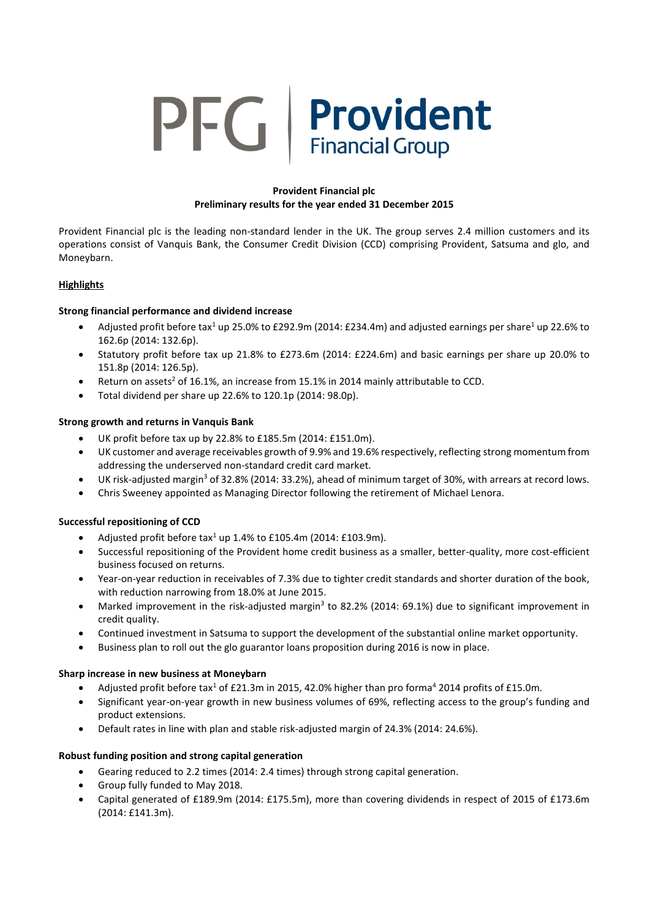# **PFG** Provident

## **Provident Financial plc Preliminary results for the year ended 31 December 2015**

Provident Financial plc is the leading non-standard lender in the UK. The group serves 2.4 million customers and its operations consist of Vanquis Bank, the Consumer Credit Division (CCD) comprising Provident, Satsuma and glo, and Moneybarn.

## **Highlights**

## **Strong financial performance and dividend increase**

- Adjusted profit before tax<sup>1</sup> up 25.0% to £292.9m (2014: £234.4m) and adjusted earnings per share<sup>1</sup> up 22.6% to 162.6p (2014: 132.6p).
- Statutory profit before tax up 21.8% to £273.6m (2014: £224.6m) and basic earnings per share up 20.0% to 151.8p (2014: 126.5p).
- Return on assets<sup>2</sup> of 16.1%, an increase from 15.1% in 2014 mainly attributable to CCD.
- Total dividend per share up 22.6% to 120.1p (2014: 98.0p).

#### **Strong growth and returns in Vanquis Bank**

- UK profit before tax up by 22.8% to £185.5m (2014: £151.0m).
- UK customer and average receivables growth of 9.9% and 19.6% respectively, reflecting strong momentum from addressing the underserved non-standard credit card market.
- UK risk-adjusted margin<sup>3</sup> of 32.8% (2014: 33.2%), ahead of minimum target of 30%, with arrears at record lows.
- Chris Sweeney appointed as Managing Director following the retirement of Michael Lenora.

#### **Successful repositioning of CCD**

- Adjusted profit before  $\text{tax}^1$  up 1.4% to £105.4m (2014: £103.9m).
- Successful repositioning of the Provident home credit business as a smaller, better-quality, more cost-efficient business focused on returns.
- Year-on-year reduction in receivables of 7.3% due to tighter credit standards and shorter duration of the book, with reduction narrowing from 18.0% at June 2015.
- Marked improvement in the risk-adjusted margin<sup>3</sup> to 82.2% (2014: 69.1%) due to significant improvement in credit quality.
- Continued investment in Satsuma to support the development of the substantial online market opportunity.
- Business plan to roll out the glo guarantor loans proposition during 2016 is now in place.

#### **Sharp increase in new business at Moneybarn**

- Adjusted profit before tax<sup>1</sup> of £21.3m in 2015, 42.0% higher than pro forma<sup>4</sup> 2014 profits of £15.0m.
- Significant year-on-year growth in new business volumes of 69%, reflecting access to the group's funding and product extensions.
- Default rates in line with plan and stable risk-adjusted margin of 24.3% (2014: 24.6%).

#### **Robust funding position and strong capital generation**

- Gearing reduced to 2.2 times (2014: 2.4 times) through strong capital generation.
- Group fully funded to May 2018.
- Capital generated of £189.9m (2014: £175.5m), more than covering dividends in respect of 2015 of £173.6m (2014: £141.3m).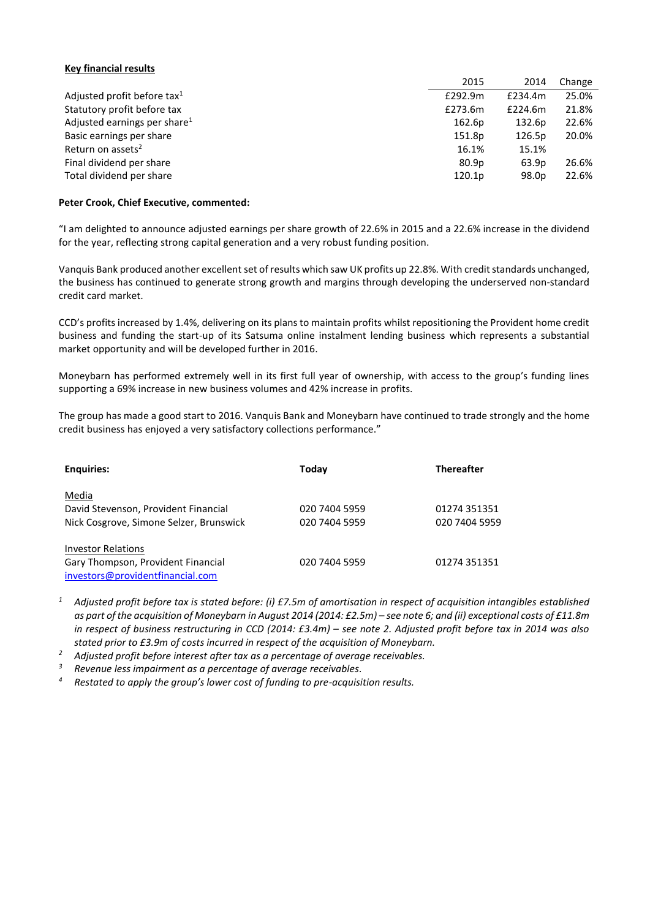#### **Key financial results**

|                                          | 2015              | 2014    | Change |
|------------------------------------------|-------------------|---------|--------|
| Adjusted profit before tax <sup>1</sup>  | £292.9m           | £234.4m | 25.0%  |
| Statutory profit before tax              | £273.6m           | £224.6m | 21.8%  |
| Adjusted earnings per share <sup>1</sup> | 162.6p            | 132.6p  | 22.6%  |
| Basic earnings per share                 | 151.8p            | 126.5p  | 20.0%  |
| Return on assets <sup>2</sup>            | 16.1%             | 15.1%   |        |
| Final dividend per share                 | 80.9 <sub>p</sub> | 63.9p   | 26.6%  |
| Total dividend per share                 | 120.1p            | 98.0p   | 22.6%  |

#### **Peter Crook, Chief Executive, commented:**

"I am delighted to announce adjusted earnings per share growth of 22.6% in 2015 and a 22.6% increase in the dividend for the year, reflecting strong capital generation and a very robust funding position.

Vanquis Bank produced another excellent set of results which saw UK profits up 22.8%. With credit standards unchanged, the business has continued to generate strong growth and margins through developing the underserved non-standard credit card market.

CCD's profits increased by 1.4%, delivering on its plans to maintain profits whilst repositioning the Provident home credit business and funding the start-up of its Satsuma online instalment lending business which represents a substantial market opportunity and will be developed further in 2016.

Moneybarn has performed extremely well in its first full year of ownership, with access to the group's funding lines supporting a 69% increase in new business volumes and 42% increase in profits.

The group has made a good start to 2016. Vanquis Bank and Moneybarn have continued to trade strongly and the home credit business has enjoyed a very satisfactory collections performance."

| <b>Enguiries:</b>                       | Today         | <b>Thereafter</b> |
|-----------------------------------------|---------------|-------------------|
| Media                                   |               |                   |
| David Stevenson, Provident Financial    | 020 7404 5959 | 01274 351351      |
| Nick Cosgrove, Simone Selzer, Brunswick | 020 7404 5959 | 020 7404 5959     |
| <b>Investor Relations</b>               |               |                   |
| Gary Thompson, Provident Financial      | 020 7404 5959 | 01274 351351      |
| investors@providentfinancial.com        |               |                   |

- *<sup>1</sup> Adjusted profit before tax is stated before: (i) £7.5m of amortisation in respect of acquisition intangibles established as part of the acquisition of Moneybarn in August 2014 (2014: £2.5m) – see note 6; and (ii) exceptional costs of £11.8m in respect of business restructuring in CCD (2014: £3.4m) – see note 2. Adjusted profit before tax in 2014 was also stated prior to £3.9m of costs incurred in respect of the acquisition of Moneybarn.*
- *<sup>2</sup> Adjusted profit before interest after tax as a percentage of average receivables.*

*<sup>3</sup> Revenue less impairment as a percentage of average receivables.*

*<sup>4</sup> Restated to apply the group's lower cost of funding to pre-acquisition results.*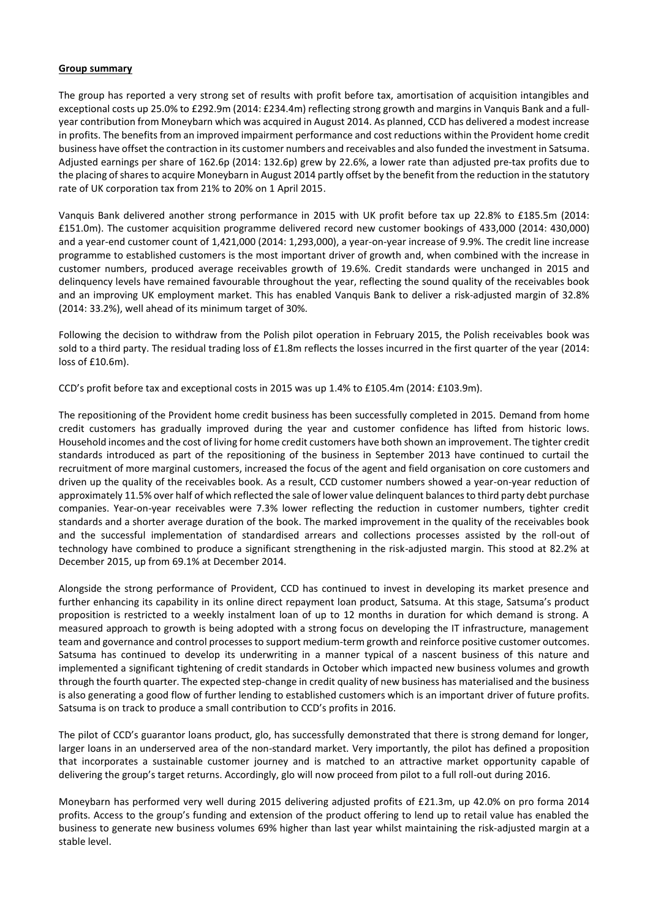#### **Group summary**

The group has reported a very strong set of results with profit before tax, amortisation of acquisition intangibles and exceptional costs up 25.0% to £292.9m (2014: £234.4m) reflecting strong growth and margins in Vanquis Bank and a fullyear contribution from Moneybarn which was acquired in August 2014. As planned, CCD has delivered a modest increase in profits. The benefits from an improved impairment performance and cost reductions within the Provident home credit business have offset the contraction in its customer numbers and receivables and also funded the investment in Satsuma. Adjusted earnings per share of 162.6p (2014: 132.6p) grew by 22.6%, a lower rate than adjusted pre-tax profits due to the placing of shares to acquire Moneybarn in August 2014 partly offset by the benefit from the reduction in the statutory rate of UK corporation tax from 21% to 20% on 1 April 2015.

Vanquis Bank delivered another strong performance in 2015 with UK profit before tax up 22.8% to £185.5m (2014: £151.0m). The customer acquisition programme delivered record new customer bookings of 433,000 (2014: 430,000) and a year-end customer count of 1,421,000 (2014: 1,293,000), a year-on-year increase of 9.9%. The credit line increase programme to established customers is the most important driver of growth and, when combined with the increase in customer numbers, produced average receivables growth of 19.6%. Credit standards were unchanged in 2015 and delinquency levels have remained favourable throughout the year, reflecting the sound quality of the receivables book and an improving UK employment market. This has enabled Vanquis Bank to deliver a risk-adjusted margin of 32.8% (2014: 33.2%), well ahead of its minimum target of 30%.

Following the decision to withdraw from the Polish pilot operation in February 2015, the Polish receivables book was sold to a third party. The residual trading loss of £1.8m reflects the losses incurred in the first quarter of the year (2014: loss of £10.6m).

CCD's profit before tax and exceptional costs in 2015 was up 1.4% to £105.4m (2014: £103.9m).

The repositioning of the Provident home credit business has been successfully completed in 2015. Demand from home credit customers has gradually improved during the year and customer confidence has lifted from historic lows. Household incomes and the cost of living for home credit customers have both shown an improvement. The tighter credit standards introduced as part of the repositioning of the business in September 2013 have continued to curtail the recruitment of more marginal customers, increased the focus of the agent and field organisation on core customers and driven up the quality of the receivables book. As a result, CCD customer numbers showed a year-on-year reduction of approximately 11.5% over half of which reflected the sale of lower value delinquent balances to third party debt purchase companies. Year-on-year receivables were 7.3% lower reflecting the reduction in customer numbers, tighter credit standards and a shorter average duration of the book. The marked improvement in the quality of the receivables book and the successful implementation of standardised arrears and collections processes assisted by the roll-out of technology have combined to produce a significant strengthening in the risk-adjusted margin. This stood at 82.2% at December 2015, up from 69.1% at December 2014.

Alongside the strong performance of Provident, CCD has continued to invest in developing its market presence and further enhancing its capability in its online direct repayment loan product, Satsuma. At this stage, Satsuma's product proposition is restricted to a weekly instalment loan of up to 12 months in duration for which demand is strong. A measured approach to growth is being adopted with a strong focus on developing the IT infrastructure, management team and governance and control processes to support medium-term growth and reinforce positive customer outcomes. Satsuma has continued to develop its underwriting in a manner typical of a nascent business of this nature and implemented a significant tightening of credit standards in October which impacted new business volumes and growth through the fourth quarter. The expected step-change in credit quality of new business has materialised and the business is also generating a good flow of further lending to established customers which is an important driver of future profits. Satsuma is on track to produce a small contribution to CCD's profits in 2016.

The pilot of CCD's guarantor loans product, glo, has successfully demonstrated that there is strong demand for longer, larger loans in an underserved area of the non-standard market. Very importantly, the pilot has defined a proposition that incorporates a sustainable customer journey and is matched to an attractive market opportunity capable of delivering the group's target returns. Accordingly, glo will now proceed from pilot to a full roll-out during 2016.

Moneybarn has performed very well during 2015 delivering adjusted profits of £21.3m, up 42.0% on pro forma 2014 profits. Access to the group's funding and extension of the product offering to lend up to retail value has enabled the business to generate new business volumes 69% higher than last year whilst maintaining the risk-adjusted margin at a stable level.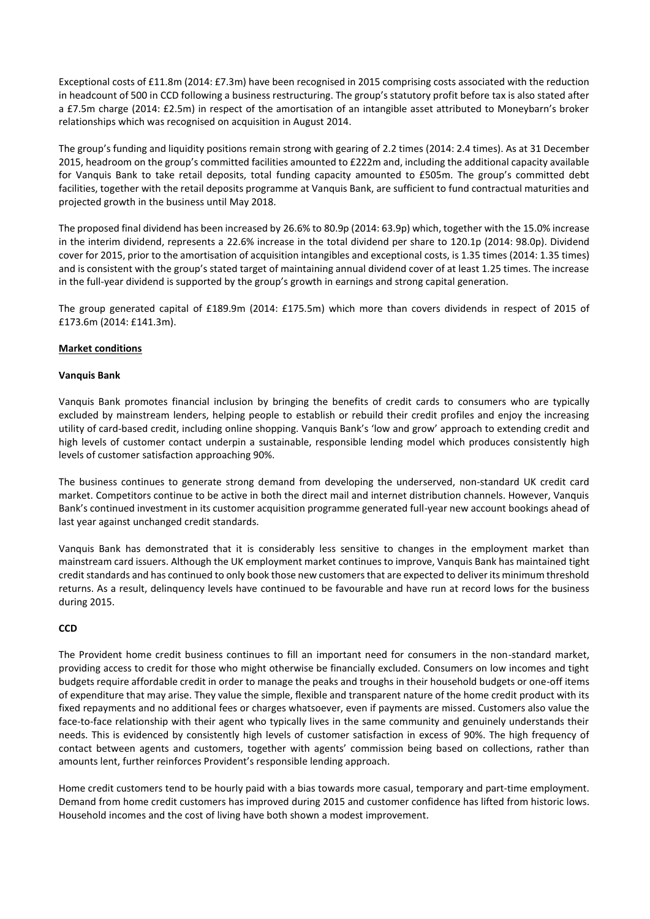Exceptional costs of £11.8m (2014: £7.3m) have been recognised in 2015 comprising costs associated with the reduction in headcount of 500 in CCD following a business restructuring. The group's statutory profit before tax is also stated after a £7.5m charge (2014: £2.5m) in respect of the amortisation of an intangible asset attributed to Moneybarn's broker relationships which was recognised on acquisition in August 2014.

The group's funding and liquidity positions remain strong with gearing of 2.2 times (2014: 2.4 times). As at 31 December 2015, headroom on the group's committed facilities amounted to £222m and, including the additional capacity available for Vanquis Bank to take retail deposits, total funding capacity amounted to £505m. The group's committed debt facilities, together with the retail deposits programme at Vanquis Bank, are sufficient to fund contractual maturities and projected growth in the business until May 2018.

The proposed final dividend has been increased by 26.6% to 80.9p (2014: 63.9p) which, together with the 15.0% increase in the interim dividend, represents a 22.6% increase in the total dividend per share to 120.1p (2014: 98.0p). Dividend cover for 2015, prior to the amortisation of acquisition intangibles and exceptional costs, is 1.35 times (2014: 1.35 times) and is consistent with the group's stated target of maintaining annual dividend cover of at least 1.25 times. The increase in the full-year dividend is supported by the group's growth in earnings and strong capital generation.

The group generated capital of £189.9m (2014: £175.5m) which more than covers dividends in respect of 2015 of £173.6m (2014: £141.3m).

#### **Market conditions**

#### **Vanquis Bank**

Vanquis Bank promotes financial inclusion by bringing the benefits of credit cards to consumers who are typically excluded by mainstream lenders, helping people to establish or rebuild their credit profiles and enjoy the increasing utility of card-based credit, including online shopping. Vanquis Bank's 'low and grow' approach to extending credit and high levels of customer contact underpin a sustainable, responsible lending model which produces consistently high levels of customer satisfaction approaching 90%.

The business continues to generate strong demand from developing the underserved, non-standard UK credit card market. Competitors continue to be active in both the direct mail and internet distribution channels. However, Vanquis Bank's continued investment in its customer acquisition programme generated full-year new account bookings ahead of last year against unchanged credit standards.

Vanquis Bank has demonstrated that it is considerably less sensitive to changes in the employment market than mainstream card issuers. Although the UK employment market continues to improve, Vanquis Bank has maintained tight credit standards and has continued to only book those new customers that are expected to deliver its minimum threshold returns. As a result, delinquency levels have continued to be favourable and have run at record lows for the business during 2015.

#### **CCD**

The Provident home credit business continues to fill an important need for consumers in the non-standard market, providing access to credit for those who might otherwise be financially excluded. Consumers on low incomes and tight budgets require affordable credit in order to manage the peaks and troughs in their household budgets or one-off items of expenditure that may arise. They value the simple, flexible and transparent nature of the home credit product with its fixed repayments and no additional fees or charges whatsoever, even if payments are missed. Customers also value the face-to-face relationship with their agent who typically lives in the same community and genuinely understands their needs. This is evidenced by consistently high levels of customer satisfaction in excess of 90%. The high frequency of contact between agents and customers, together with agents' commission being based on collections, rather than amounts lent, further reinforces Provident's responsible lending approach.

Home credit customers tend to be hourly paid with a bias towards more casual, temporary and part-time employment. Demand from home credit customers has improved during 2015 and customer confidence has lifted from historic lows. Household incomes and the cost of living have both shown a modest improvement.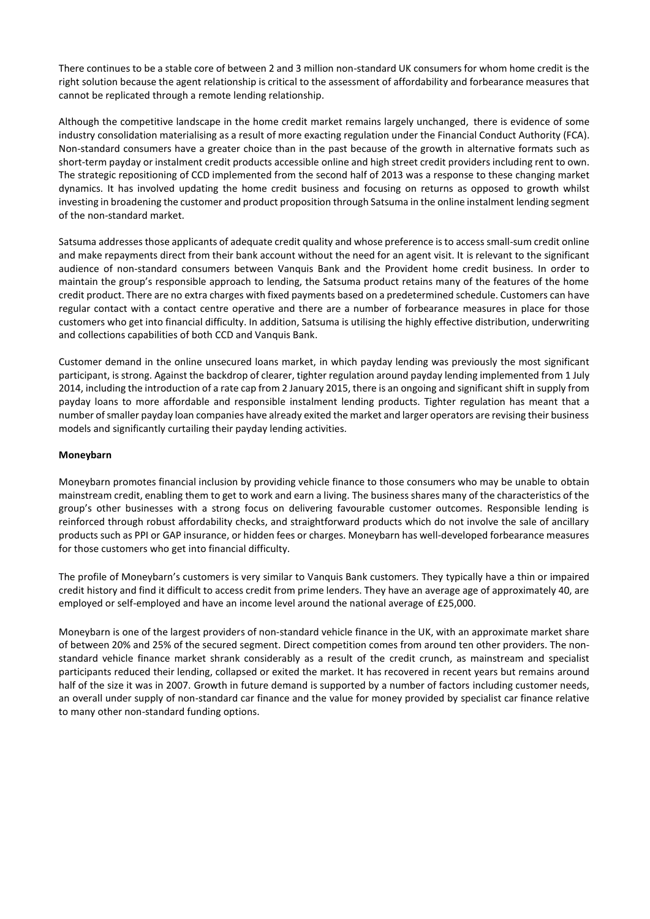There continues to be a stable core of between 2 and 3 million non-standard UK consumers for whom home credit is the right solution because the agent relationship is critical to the assessment of affordability and forbearance measures that cannot be replicated through a remote lending relationship.

Although the competitive landscape in the home credit market remains largely unchanged, there is evidence of some industry consolidation materialising as a result of more exacting regulation under the Financial Conduct Authority (FCA). Non-standard consumers have a greater choice than in the past because of the growth in alternative formats such as short-term payday or instalment credit products accessible online and high street credit providers including rent to own. The strategic repositioning of CCD implemented from the second half of 2013 was a response to these changing market dynamics. It has involved updating the home credit business and focusing on returns as opposed to growth whilst investing in broadening the customer and product proposition through Satsuma in the online instalment lending segment of the non-standard market.

Satsuma addresses those applicants of adequate credit quality and whose preference is to access small-sum credit online and make repayments direct from their bank account without the need for an agent visit. It is relevant to the significant audience of non-standard consumers between Vanquis Bank and the Provident home credit business. In order to maintain the group's responsible approach to lending, the Satsuma product retains many of the features of the home credit product. There are no extra charges with fixed payments based on a predetermined schedule. Customers can have regular contact with a contact centre operative and there are a number of forbearance measures in place for those customers who get into financial difficulty. In addition, Satsuma is utilising the highly effective distribution, underwriting and collections capabilities of both CCD and Vanquis Bank.

Customer demand in the online unsecured loans market, in which payday lending was previously the most significant participant, is strong. Against the backdrop of clearer, tighter regulation around payday lending implemented from 1 July 2014, including the introduction of a rate cap from 2 January 2015, there is an ongoing and significant shift in supply from payday loans to more affordable and responsible instalment lending products. Tighter regulation has meant that a number of smaller payday loan companies have already exited the market and larger operators are revising their business models and significantly curtailing their payday lending activities.

## **Moneybarn**

Moneybarn promotes financial inclusion by providing vehicle finance to those consumers who may be unable to obtain mainstream credit, enabling them to get to work and earn a living. The business shares many of the characteristics of the group's other businesses with a strong focus on delivering favourable customer outcomes. Responsible lending is reinforced through robust affordability checks, and straightforward products which do not involve the sale of ancillary products such as PPI or GAP insurance, or hidden fees or charges. Moneybarn has well-developed forbearance measures for those customers who get into financial difficulty.

The profile of Moneybarn's customers is very similar to Vanquis Bank customers. They typically have a thin or impaired credit history and find it difficult to access credit from prime lenders. They have an average age of approximately 40, are employed or self-employed and have an income level around the national average of £25,000.

Moneybarn is one of the largest providers of non-standard vehicle finance in the UK, with an approximate market share of between 20% and 25% of the secured segment. Direct competition comes from around ten other providers. The nonstandard vehicle finance market shrank considerably as a result of the credit crunch, as mainstream and specialist participants reduced their lending, collapsed or exited the market. It has recovered in recent years but remains around half of the size it was in 2007. Growth in future demand is supported by a number of factors including customer needs, an overall under supply of non-standard car finance and the value for money provided by specialist car finance relative to many other non-standard funding options.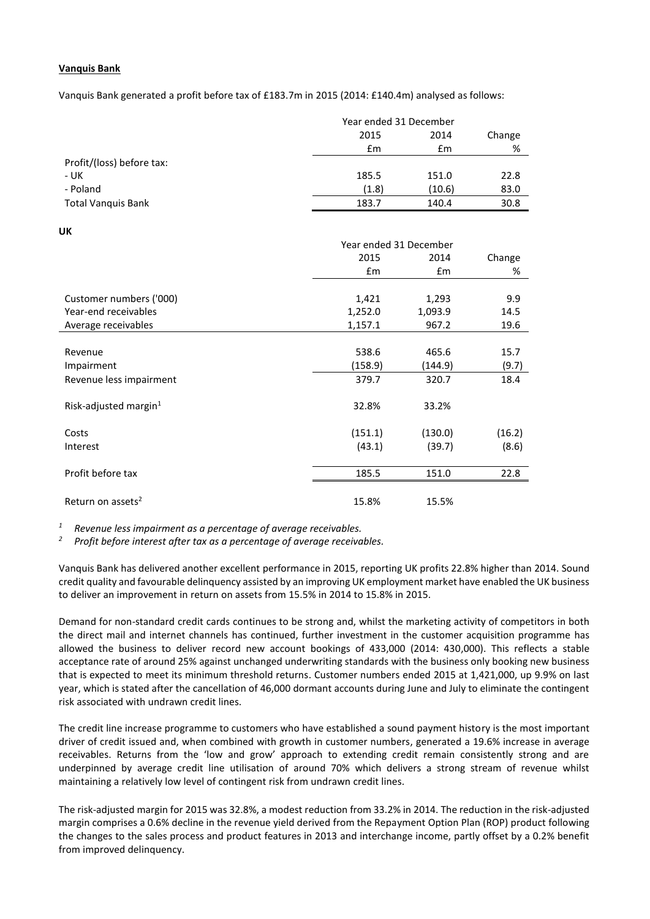#### **Vanquis Bank**

Vanquis Bank generated a profit before tax of £183.7m in 2015 (2014: £140.4m) analysed as follows:

|                           | Year ended 31 December |        |        |
|---------------------------|------------------------|--------|--------|
|                           | 2015                   | 2014   | Change |
|                           | £m                     | £m     | %      |
| Profit/(loss) before tax: |                        |        |        |
| - UK                      | 185.5                  | 151.0  | 22.8   |
| - Poland                  | (1.8)                  | (10.6) | 83.0   |
| <b>Total Vanquis Bank</b> | 183.7                  | 140.4  | 30.8   |

**UK**

| UK                                |                        |         |        |
|-----------------------------------|------------------------|---------|--------|
|                                   | Year ended 31 December |         |        |
|                                   | 2015                   | 2014    | Change |
|                                   | Em                     | Em      | %      |
|                                   |                        |         |        |
| Customer numbers ('000)           | 1,421                  | 1,293   | 9.9    |
| Year-end receivables              | 1,252.0                | 1,093.9 | 14.5   |
| Average receivables               | 1,157.1                | 967.2   | 19.6   |
|                                   |                        |         |        |
| Revenue                           | 538.6                  | 465.6   | 15.7   |
| Impairment                        | (158.9)                | (144.9) | (9.7)  |
| Revenue less impairment           | 379.7                  | 320.7   | 18.4   |
|                                   | 32.8%                  | 33.2%   |        |
| Risk-adjusted margin <sup>1</sup> |                        |         |        |
| Costs                             | (151.1)                | (130.0) | (16.2) |
| Interest                          | (43.1)                 | (39.7)  | (8.6)  |
| Profit before tax                 |                        |         |        |
|                                   | 185.5                  | 151.0   | 22.8   |
| Return on assets <sup>2</sup>     | 15.8%                  | 15.5%   |        |
|                                   |                        |         |        |

*<sup>1</sup> Revenue less impairment as a percentage of average receivables.*

*<sup>2</sup> Profit before interest after tax as a percentage of average receivables.*

Vanquis Bank has delivered another excellent performance in 2015, reporting UK profits 22.8% higher than 2014. Sound credit quality and favourable delinquency assisted by an improving UK employment market have enabled the UK business to deliver an improvement in return on assets from 15.5% in 2014 to 15.8% in 2015.

Demand for non-standard credit cards continues to be strong and, whilst the marketing activity of competitors in both the direct mail and internet channels has continued, further investment in the customer acquisition programme has allowed the business to deliver record new account bookings of 433,000 (2014: 430,000). This reflects a stable acceptance rate of around 25% against unchanged underwriting standards with the business only booking new business that is expected to meet its minimum threshold returns. Customer numbers ended 2015 at 1,421,000, up 9.9% on last year, which is stated after the cancellation of 46,000 dormant accounts during June and July to eliminate the contingent risk associated with undrawn credit lines.

The credit line increase programme to customers who have established a sound payment history is the most important driver of credit issued and, when combined with growth in customer numbers, generated a 19.6% increase in average receivables. Returns from the 'low and grow' approach to extending credit remain consistently strong and are underpinned by average credit line utilisation of around 70% which delivers a strong stream of revenue whilst maintaining a relatively low level of contingent risk from undrawn credit lines.

The risk-adjusted margin for 2015 was 32.8%, a modest reduction from 33.2% in 2014. The reduction in the risk-adjusted margin comprises a 0.6% decline in the revenue yield derived from the Repayment Option Plan (ROP) product following the changes to the sales process and product features in 2013 and interchange income, partly offset by a 0.2% benefit from improved delinquency.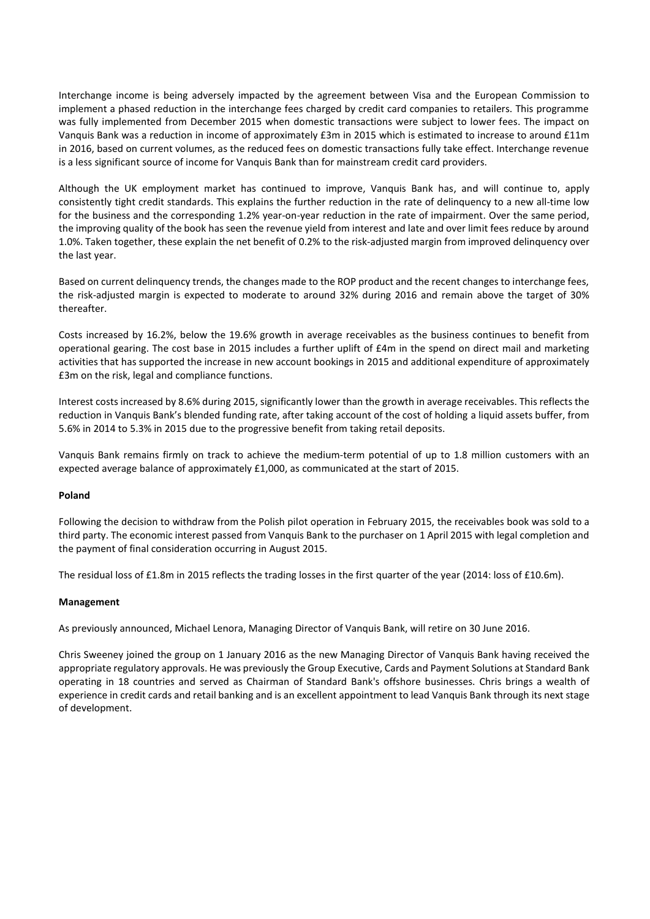Interchange income is being adversely impacted by the agreement between Visa and the European Commission to implement a phased reduction in the interchange fees charged by credit card companies to retailers. This programme was fully implemented from December 2015 when domestic transactions were subject to lower fees. The impact on Vanquis Bank was a reduction in income of approximately £3m in 2015 which is estimated to increase to around £11m in 2016, based on current volumes, as the reduced fees on domestic transactions fully take effect. Interchange revenue is a less significant source of income for Vanquis Bank than for mainstream credit card providers.

Although the UK employment market has continued to improve, Vanquis Bank has, and will continue to, apply consistently tight credit standards. This explains the further reduction in the rate of delinquency to a new all-time low for the business and the corresponding 1.2% year-on-year reduction in the rate of impairment. Over the same period, the improving quality of the book has seen the revenue yield from interest and late and over limit fees reduce by around 1.0%. Taken together, these explain the net benefit of 0.2% to the risk-adjusted margin from improved delinquency over the last year.

Based on current delinquency trends, the changes made to the ROP product and the recent changes to interchange fees, the risk-adjusted margin is expected to moderate to around 32% during 2016 and remain above the target of 30% thereafter.

Costs increased by 16.2%, below the 19.6% growth in average receivables as the business continues to benefit from operational gearing. The cost base in 2015 includes a further uplift of £4m in the spend on direct mail and marketing activities that has supported the increase in new account bookings in 2015 and additional expenditure of approximately £3m on the risk, legal and compliance functions.

Interest costs increased by 8.6% during 2015, significantly lower than the growth in average receivables. This reflects the reduction in Vanquis Bank's blended funding rate, after taking account of the cost of holding a liquid assets buffer, from 5.6% in 2014 to 5.3% in 2015 due to the progressive benefit from taking retail deposits.

Vanquis Bank remains firmly on track to achieve the medium-term potential of up to 1.8 million customers with an expected average balance of approximately £1,000, as communicated at the start of 2015.

#### **Poland**

Following the decision to withdraw from the Polish pilot operation in February 2015, the receivables book was sold to a third party. The economic interest passed from Vanquis Bank to the purchaser on 1 April 2015 with legal completion and the payment of final consideration occurring in August 2015.

The residual loss of £1.8m in 2015 reflects the trading losses in the first quarter of the year (2014: loss of £10.6m).

#### **Management**

As previously announced, Michael Lenora, Managing Director of Vanquis Bank, will retire on 30 June 2016.

Chris Sweeney joined the group on 1 January 2016 as the new Managing Director of Vanquis Bank having received the appropriate regulatory approvals. He was previously the Group Executive, Cards and Payment Solutions at Standard Bank operating in 18 countries and served as Chairman of Standard Bank's offshore businesses. Chris brings a wealth of experience in credit cards and retail banking and is an excellent appointment to lead Vanquis Bank through its next stage of development.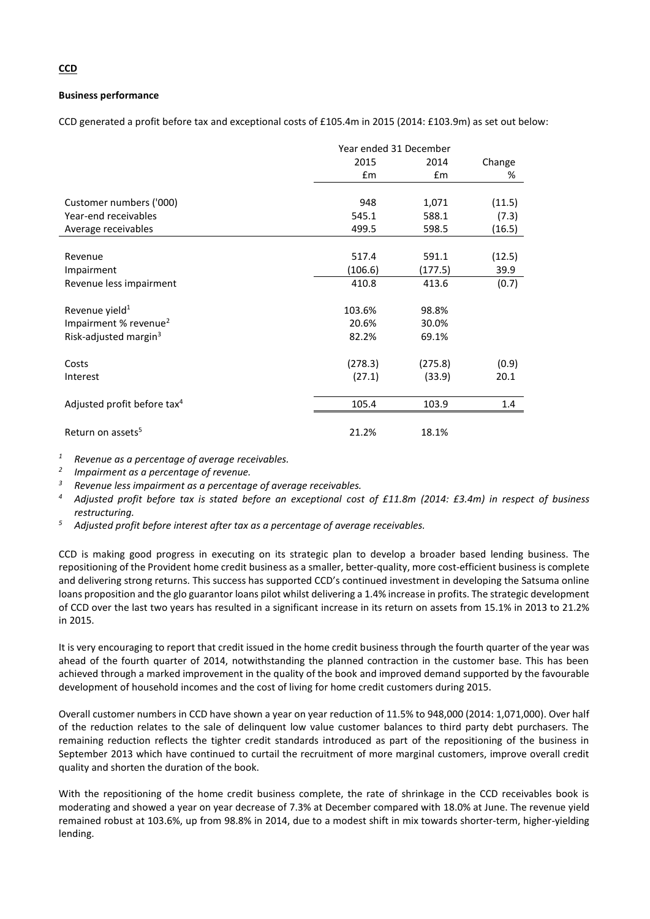#### **Business performance**

CCD generated a profit before tax and exceptional costs of £105.4m in 2015 (2014: £103.9m) as set out below:

|                                         | Year ended 31 December |         |        |
|-----------------------------------------|------------------------|---------|--------|
|                                         | 2015                   | 2014    | Change |
|                                         | Em                     | £m      | %      |
|                                         |                        |         |        |
| Customer numbers ('000)                 | 948                    | 1,071   | (11.5) |
| Year-end receivables                    | 545.1                  | 588.1   | (7.3)  |
| Average receivables                     | 499.5                  | 598.5   | (16.5) |
|                                         |                        |         |        |
| Revenue                                 | 517.4                  | 591.1   | (12.5) |
| Impairment                              | (106.6)                | (177.5) | 39.9   |
| Revenue less impairment                 | 410.8                  | 413.6   | (0.7)  |
| Revenue yield <sup>1</sup>              | 103.6%                 | 98.8%   |        |
| Impairment % revenue <sup>2</sup>       | 20.6%                  | 30.0%   |        |
| Risk-adjusted margin <sup>3</sup>       | 82.2%                  | 69.1%   |        |
| Costs                                   | (278.3)                | (275.8) | (0.9)  |
| Interest                                | (27.1)                 | (33.9)  | 20.1   |
| Adjusted profit before tax <sup>4</sup> | 105.4                  | 103.9   | 1.4    |
| Return on assets <sup>5</sup>           | 21.2%                  | 18.1%   |        |

*<sup>1</sup> Revenue as a percentage of average receivables.*

*2 Impairment as a percentage of revenue.*

*<sup>3</sup> Revenue less impairment as a percentage of average receivables.*

- *<sup>4</sup> Adjusted profit before tax is stated before an exceptional cost of £11.8m (2014: £3.4m) in respect of business restructuring.*
- *<sup>5</sup> Adjusted profit before interest after tax as a percentage of average receivables.*

CCD is making good progress in executing on its strategic plan to develop a broader based lending business. The repositioning of the Provident home credit business as a smaller, better-quality, more cost-efficient business is complete and delivering strong returns. This success has supported CCD's continued investment in developing the Satsuma online loans proposition and the glo guarantor loans pilot whilst delivering a 1.4% increase in profits. The strategic development of CCD over the last two years has resulted in a significant increase in its return on assets from 15.1% in 2013 to 21.2% in 2015.

It is very encouraging to report that credit issued in the home credit business through the fourth quarter of the year was ahead of the fourth quarter of 2014, notwithstanding the planned contraction in the customer base. This has been achieved through a marked improvement in the quality of the book and improved demand supported by the favourable development of household incomes and the cost of living for home credit customers during 2015.

Overall customer numbers in CCD have shown a year on year reduction of 11.5% to 948,000 (2014: 1,071,000). Over half of the reduction relates to the sale of delinquent low value customer balances to third party debt purchasers. The remaining reduction reflects the tighter credit standards introduced as part of the repositioning of the business in September 2013 which have continued to curtail the recruitment of more marginal customers, improve overall credit quality and shorten the duration of the book.

With the repositioning of the home credit business complete, the rate of shrinkage in the CCD receivables book is moderating and showed a year on year decrease of 7.3% at December compared with 18.0% at June. The revenue yield remained robust at 103.6%, up from 98.8% in 2014, due to a modest shift in mix towards shorter-term, higher-yielding lending.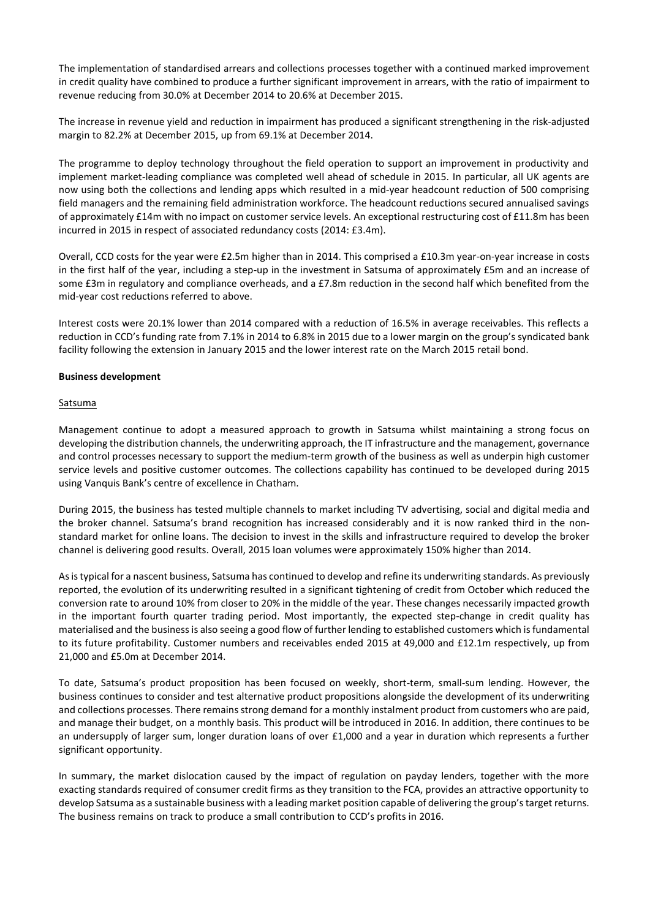The implementation of standardised arrears and collections processes together with a continued marked improvement in credit quality have combined to produce a further significant improvement in arrears, with the ratio of impairment to revenue reducing from 30.0% at December 2014 to 20.6% at December 2015.

The increase in revenue yield and reduction in impairment has produced a significant strengthening in the risk-adjusted margin to 82.2% at December 2015, up from 69.1% at December 2014.

The programme to deploy technology throughout the field operation to support an improvement in productivity and implement market-leading compliance was completed well ahead of schedule in 2015. In particular, all UK agents are now using both the collections and lending apps which resulted in a mid-year headcount reduction of 500 comprising field managers and the remaining field administration workforce. The headcount reductions secured annualised savings of approximately £14m with no impact on customer service levels. An exceptional restructuring cost of £11.8m has been incurred in 2015 in respect of associated redundancy costs (2014: £3.4m).

Overall, CCD costs for the year were £2.5m higher than in 2014. This comprised a £10.3m year-on-year increase in costs in the first half of the year, including a step-up in the investment in Satsuma of approximately £5m and an increase of some £3m in regulatory and compliance overheads, and a £7.8m reduction in the second half which benefited from the mid-year cost reductions referred to above.

Interest costs were 20.1% lower than 2014 compared with a reduction of 16.5% in average receivables. This reflects a reduction in CCD's funding rate from 7.1% in 2014 to 6.8% in 2015 due to a lower margin on the group's syndicated bank facility following the extension in January 2015 and the lower interest rate on the March 2015 retail bond.

#### **Business development**

#### Satsuma

Management continue to adopt a measured approach to growth in Satsuma whilst maintaining a strong focus on developing the distribution channels, the underwriting approach, the IT infrastructure and the management, governance and control processes necessary to support the medium-term growth of the business as well as underpin high customer service levels and positive customer outcomes. The collections capability has continued to be developed during 2015 using Vanquis Bank's centre of excellence in Chatham.

During 2015, the business has tested multiple channels to market including TV advertising, social and digital media and the broker channel. Satsuma's brand recognition has increased considerably and it is now ranked third in the nonstandard market for online loans. The decision to invest in the skills and infrastructure required to develop the broker channel is delivering good results. Overall, 2015 loan volumes were approximately 150% higher than 2014.

Asistypical for a nascent business, Satsuma has continued to develop and refine its underwriting standards. As previously reported, the evolution of its underwriting resulted in a significant tightening of credit from October which reduced the conversion rate to around 10% from closer to 20% in the middle of the year. These changes necessarily impacted growth in the important fourth quarter trading period. Most importantly, the expected step-change in credit quality has materialised and the businessis also seeing a good flow of further lending to established customers which isfundamental to its future profitability. Customer numbers and receivables ended 2015 at 49,000 and £12.1m respectively, up from 21,000 and £5.0m at December 2014.

To date, Satsuma's product proposition has been focused on weekly, short-term, small-sum lending. However, the business continues to consider and test alternative product propositions alongside the development of its underwriting and collections processes. There remains strong demand for a monthly instalment product from customers who are paid, and manage their budget, on a monthly basis. This product will be introduced in 2016. In addition, there continues to be an undersupply of larger sum, longer duration loans of over £1,000 and a year in duration which represents a further significant opportunity.

In summary, the market dislocation caused by the impact of regulation on payday lenders, together with the more exacting standards required of consumer credit firms as they transition to the FCA, provides an attractive opportunity to develop Satsuma as a sustainable business with a leading market position capable of delivering the group's target returns. The business remains on track to produce a small contribution to CCD's profits in 2016.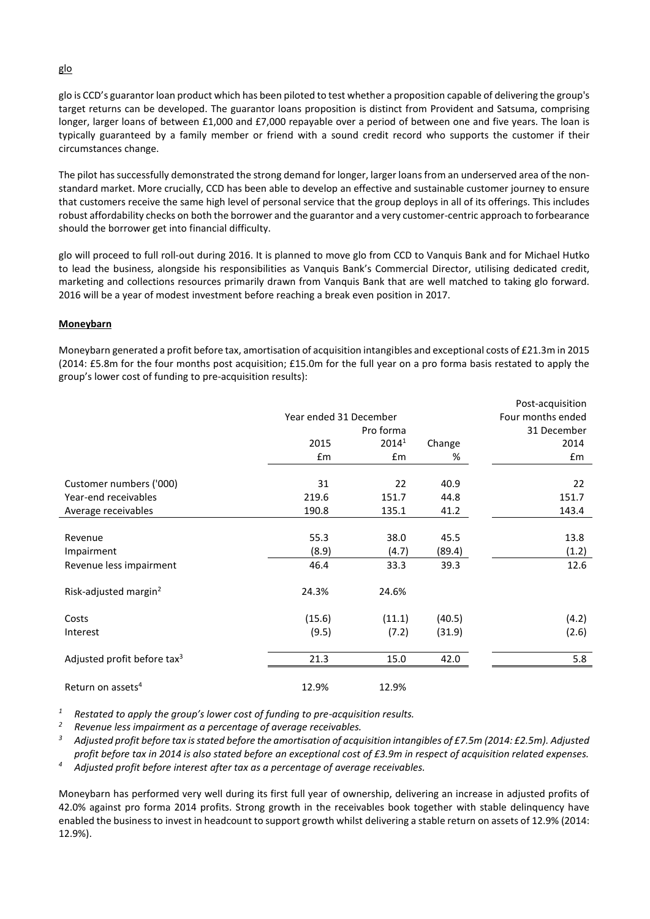glo is CCD's guarantor loan product which has been piloted to test whether a proposition capable of delivering the group's target returns can be developed. The guarantor loans proposition is distinct from Provident and Satsuma, comprising longer, larger loans of between £1,000 and £7,000 repayable over a period of between one and five years. The loan is typically guaranteed by a family member or friend with a sound credit record who supports the customer if their circumstances change.

The pilot has successfully demonstrated the strong demand for longer, larger loans from an underserved area of the nonstandard market. More crucially, CCD has been able to develop an effective and sustainable customer journey to ensure that customers receive the same high level of personal service that the group deploys in all of its offerings. This includes robust affordability checks on both the borrower and the guarantor and a very customer-centric approach to forbearance should the borrower get into financial difficulty.

glo will proceed to full roll-out during 2016. It is planned to move glo from CCD to Vanquis Bank and for Michael Hutko to lead the business, alongside his responsibilities as Vanquis Bank's Commercial Director, utilising dedicated credit, marketing and collections resources primarily drawn from Vanquis Bank that are well matched to taking glo forward. 2016 will be a year of modest investment before reaching a break even position in 2017.

## **Moneybarn**

Moneybarn generated a profit before tax, amortisation of acquisition intangibles and exceptional costs of £21.3m in 2015 (2014: £5.8m for the four months post acquisition; £15.0m for the full year on a pro forma basis restated to apply the group's lower cost of funding to pre-acquisition results):

|                                         |                   |                   |        | Post-acquisition |
|-----------------------------------------|-------------------|-------------------|--------|------------------|
|                                         | Four months ended |                   |        |                  |
|                                         |                   | Pro forma         |        | 31 December      |
|                                         | 2015              | 2014 <sup>1</sup> | Change | 2014             |
|                                         | £m                | £m                | %      | £m               |
| Customer numbers ('000)                 | 31                | 22                | 40.9   | 22               |
| Year-end receivables                    | 219.6             | 151.7             | 44.8   | 151.7            |
| Average receivables                     | 190.8             | 135.1             | 41.2   | 143.4            |
|                                         |                   |                   |        |                  |
| Revenue                                 | 55.3              | 38.0              | 45.5   | 13.8             |
| Impairment                              | (8.9)             | (4.7)             | (89.4) | (1.2)            |
| Revenue less impairment                 | 46.4              | 33.3              | 39.3   | 12.6             |
| Risk-adjusted margin <sup>2</sup>       | 24.3%             | 24.6%             |        |                  |
| Costs                                   | (15.6)            | (11.1)            | (40.5) | (4.2)            |
| Interest                                | (9.5)             | (7.2)             | (31.9) | (2.6)            |
| Adjusted profit before tax <sup>3</sup> | 21.3              | 15.0              | 42.0   | 5.8              |
| Return on assets <sup>4</sup>           | 12.9%             | 12.9%             |        |                  |

*<sup>1</sup> Restated to apply the group's lower cost of funding to pre-acquisition results.* 

*<sup>2</sup> Revenue less impairment as a percentage of average receivables.*

*<sup>3</sup> Adjusted profit before tax is stated before the amortisation of acquisition intangibles of £7.5m (2014: £2.5m). Adjusted profit before tax in 2014 is also stated before an exceptional cost of £3.9m in respect of acquisition related expenses.*

*<sup>4</sup> Adjusted profit before interest after tax as a percentage of average receivables.*

Moneybarn has performed very well during its first full year of ownership, delivering an increase in adjusted profits of 42.0% against pro forma 2014 profits. Strong growth in the receivables book together with stable delinquency have enabled the business to invest in headcount to support growth whilst delivering a stable return on assets of 12.9% (2014: 12.9%).

## glo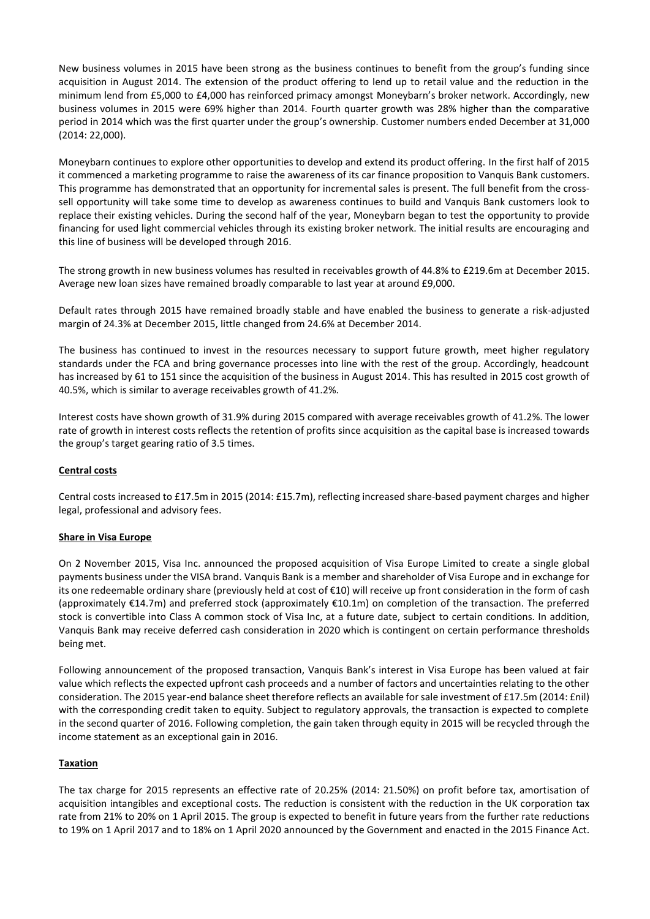New business volumes in 2015 have been strong as the business continues to benefit from the group's funding since acquisition in August 2014. The extension of the product offering to lend up to retail value and the reduction in the minimum lend from £5,000 to £4,000 has reinforced primacy amongst Moneybarn's broker network. Accordingly, new business volumes in 2015 were 69% higher than 2014. Fourth quarter growth was 28% higher than the comparative period in 2014 which was the first quarter under the group's ownership. Customer numbers ended December at 31,000 (2014: 22,000).

Moneybarn continues to explore other opportunities to develop and extend its product offering. In the first half of 2015 it commenced a marketing programme to raise the awareness of its car finance proposition to Vanquis Bank customers. This programme has demonstrated that an opportunity for incremental sales is present. The full benefit from the crosssell opportunity will take some time to develop as awareness continues to build and Vanquis Bank customers look to replace their existing vehicles. During the second half of the year, Moneybarn began to test the opportunity to provide financing for used light commercial vehicles through its existing broker network. The initial results are encouraging and this line of business will be developed through 2016.

The strong growth in new business volumes has resulted in receivables growth of 44.8% to £219.6m at December 2015. Average new loan sizes have remained broadly comparable to last year at around £9,000.

Default rates through 2015 have remained broadly stable and have enabled the business to generate a risk-adjusted margin of 24.3% at December 2015, little changed from 24.6% at December 2014.

The business has continued to invest in the resources necessary to support future growth, meet higher regulatory standards under the FCA and bring governance processes into line with the rest of the group. Accordingly, headcount has increased by 61 to 151 since the acquisition of the business in August 2014. This has resulted in 2015 cost growth of 40.5%, which is similar to average receivables growth of 41.2%.

Interest costs have shown growth of 31.9% during 2015 compared with average receivables growth of 41.2%. The lower rate of growth in interest costs reflects the retention of profits since acquisition as the capital base is increased towards the group's target gearing ratio of 3.5 times.

#### **Central costs**

Central costs increased to £17.5m in 2015 (2014: £15.7m), reflecting increased share-based payment charges and higher legal, professional and advisory fees.

#### **Share in Visa Europe**

On 2 November 2015, Visa Inc. announced the proposed acquisition of Visa Europe Limited to create a single global payments business under the VISA brand. Vanquis Bank is a member and shareholder of Visa Europe and in exchange for its one redeemable ordinary share (previously held at cost of €10) will receive up front consideration in the form of cash (approximately €14.7m) and preferred stock (approximately €10.1m) on completion of the transaction. The preferred stock is convertible into Class A common stock of Visa Inc, at a future date, subject to certain conditions. In addition, Vanquis Bank may receive deferred cash consideration in 2020 which is contingent on certain performance thresholds being met.

Following announcement of the proposed transaction, Vanquis Bank's interest in Visa Europe has been valued at fair value which reflects the expected upfront cash proceeds and a number of factors and uncertainties relating to the other consideration. The 2015 year-end balance sheet therefore reflects an available for sale investment of £17.5m (2014: £nil) with the corresponding credit taken to equity. Subject to regulatory approvals, the transaction is expected to complete in the second quarter of 2016. Following completion, the gain taken through equity in 2015 will be recycled through the income statement as an exceptional gain in 2016.

#### **Taxation**

The tax charge for 2015 represents an effective rate of 20.25% (2014: 21.50%) on profit before tax, amortisation of acquisition intangibles and exceptional costs. The reduction is consistent with the reduction in the UK corporation tax rate from 21% to 20% on 1 April 2015. The group is expected to benefit in future years from the further rate reductions to 19% on 1 April 2017 and to 18% on 1 April 2020 announced by the Government and enacted in the 2015 Finance Act.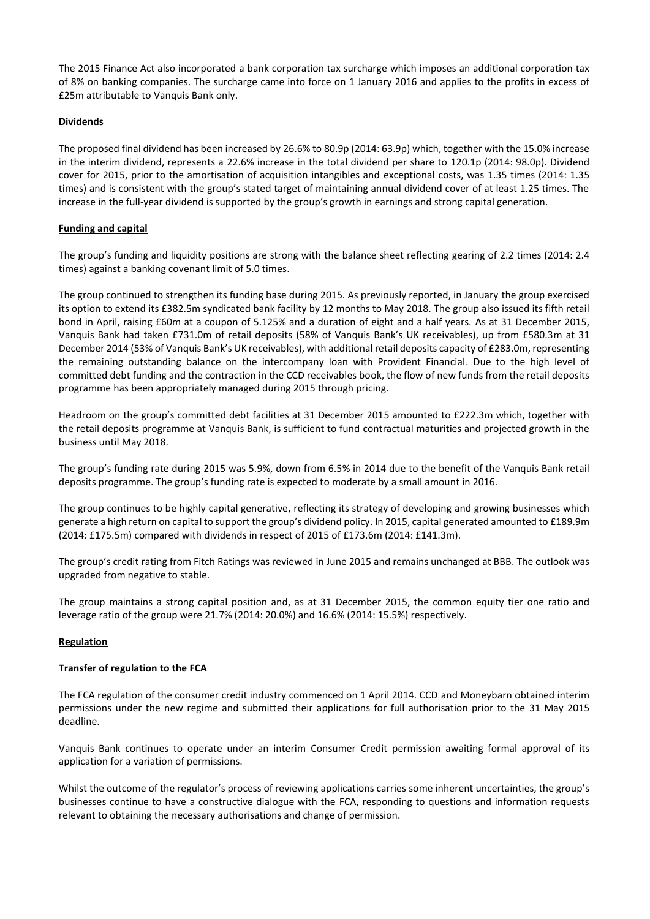The 2015 Finance Act also incorporated a bank corporation tax surcharge which imposes an additional corporation tax of 8% on banking companies. The surcharge came into force on 1 January 2016 and applies to the profits in excess of £25m attributable to Vanquis Bank only.

## **Dividends**

The proposed final dividend has been increased by 26.6% to 80.9p (2014: 63.9p) which, together with the 15.0% increase in the interim dividend, represents a 22.6% increase in the total dividend per share to 120.1p (2014: 98.0p). Dividend cover for 2015, prior to the amortisation of acquisition intangibles and exceptional costs, was 1.35 times (2014: 1.35 times) and is consistent with the group's stated target of maintaining annual dividend cover of at least 1.25 times. The increase in the full-year dividend is supported by the group's growth in earnings and strong capital generation.

## **Funding and capital**

The group's funding and liquidity positions are strong with the balance sheet reflecting gearing of 2.2 times (2014: 2.4 times) against a banking covenant limit of 5.0 times.

The group continued to strengthen its funding base during 2015. As previously reported, in January the group exercised its option to extend its £382.5m syndicated bank facility by 12 months to May 2018. The group also issued its fifth retail bond in April, raising £60m at a coupon of 5.125% and a duration of eight and a half years. As at 31 December 2015, Vanquis Bank had taken £731.0m of retail deposits (58% of Vanquis Bank's UK receivables), up from £580.3m at 31 December 2014 (53% of Vanquis Bank's UK receivables), with additional retail deposits capacity of £283.0m, representing the remaining outstanding balance on the intercompany loan with Provident Financial. Due to the high level of committed debt funding and the contraction in the CCD receivables book, the flow of new funds from the retail deposits programme has been appropriately managed during 2015 through pricing.

Headroom on the group's committed debt facilities at 31 December 2015 amounted to £222.3m which, together with the retail deposits programme at Vanquis Bank, is sufficient to fund contractual maturities and projected growth in the business until May 2018.

The group's funding rate during 2015 was 5.9%, down from 6.5% in 2014 due to the benefit of the Vanquis Bank retail deposits programme. The group's funding rate is expected to moderate by a small amount in 2016.

The group continues to be highly capital generative, reflecting its strategy of developing and growing businesses which generate a high return on capital to support the group's dividend policy. In 2015, capital generated amounted to £189.9m (2014: £175.5m) compared with dividends in respect of 2015 of £173.6m (2014: £141.3m).

The group's credit rating from Fitch Ratings was reviewed in June 2015 and remains unchanged at BBB. The outlook was upgraded from negative to stable.

The group maintains a strong capital position and, as at 31 December 2015, the common equity tier one ratio and leverage ratio of the group were 21.7% (2014: 20.0%) and 16.6% (2014: 15.5%) respectively.

#### **Regulation**

#### **Transfer of regulation to the FCA**

The FCA regulation of the consumer credit industry commenced on 1 April 2014. CCD and Moneybarn obtained interim permissions under the new regime and submitted their applications for full authorisation prior to the 31 May 2015 deadline.

Vanquis Bank continues to operate under an interim Consumer Credit permission awaiting formal approval of its application for a variation of permissions.

Whilst the outcome of the regulator's process of reviewing applications carries some inherent uncertainties, the group's businesses continue to have a constructive dialogue with the FCA, responding to questions and information requests relevant to obtaining the necessary authorisations and change of permission.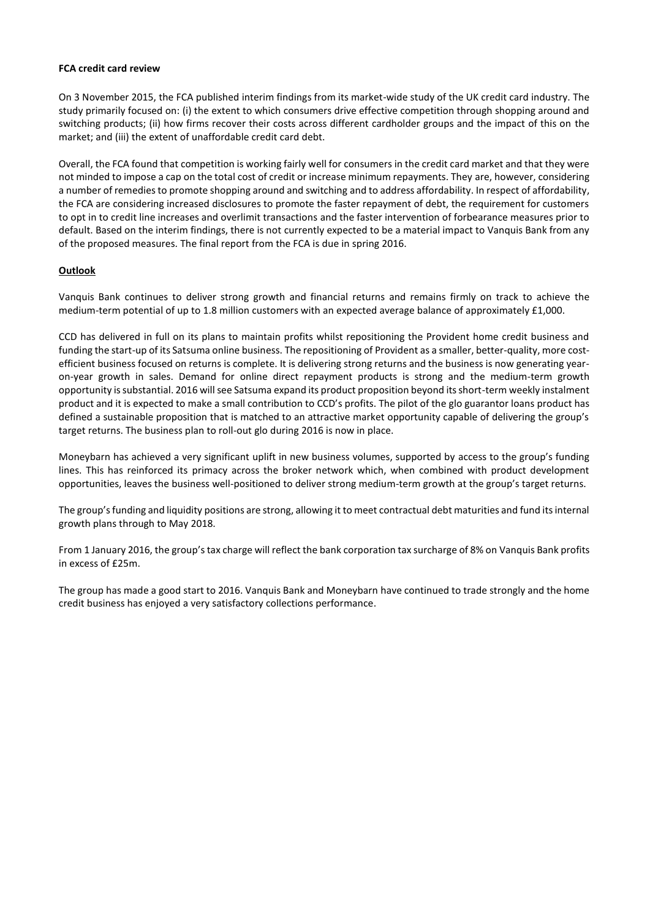#### **FCA credit card review**

On 3 November 2015, the FCA published interim findings from its market-wide study of the UK credit card industry. The study primarily focused on: (i) the extent to which consumers drive effective competition through shopping around and switching products; (ii) how firms recover their costs across different cardholder groups and the impact of this on the market; and (iii) the extent of unaffordable credit card debt.

Overall, the FCA found that competition is working fairly well for consumers in the credit card market and that they were not minded to impose a cap on the total cost of credit or increase minimum repayments. They are, however, considering a number of remedies to promote shopping around and switching and to address affordability. In respect of affordability, the FCA are considering increased disclosures to promote the faster repayment of debt, the requirement for customers to opt in to credit line increases and overlimit transactions and the faster intervention of forbearance measures prior to default. Based on the interim findings, there is not currently expected to be a material impact to Vanquis Bank from any of the proposed measures. The final report from the FCA is due in spring 2016.

#### **Outlook**

Vanquis Bank continues to deliver strong growth and financial returns and remains firmly on track to achieve the medium-term potential of up to 1.8 million customers with an expected average balance of approximately £1,000.

CCD has delivered in full on its plans to maintain profits whilst repositioning the Provident home credit business and funding the start-up of its Satsuma online business. The repositioning of Provident as a smaller, better-quality, more costefficient business focused on returns is complete. It is delivering strong returns and the business is now generating yearon-year growth in sales. Demand for online direct repayment products is strong and the medium-term growth opportunity is substantial. 2016 will see Satsuma expand its product proposition beyond its short-term weekly instalment product and it is expected to make a small contribution to CCD's profits. The pilot of the glo guarantor loans product has defined a sustainable proposition that is matched to an attractive market opportunity capable of delivering the group's target returns. The business plan to roll-out glo during 2016 is now in place.

Moneybarn has achieved a very significant uplift in new business volumes, supported by access to the group's funding lines. This has reinforced its primacy across the broker network which, when combined with product development opportunities, leaves the business well-positioned to deliver strong medium-term growth at the group's target returns.

The group's funding and liquidity positions are strong, allowing it to meet contractual debt maturities and fund its internal growth plans through to May 2018.

From 1 January 2016, the group's tax charge will reflect the bank corporation tax surcharge of 8% on Vanquis Bank profits in excess of £25m.

The group has made a good start to 2016. Vanquis Bank and Moneybarn have continued to trade strongly and the home credit business has enjoyed a very satisfactory collections performance.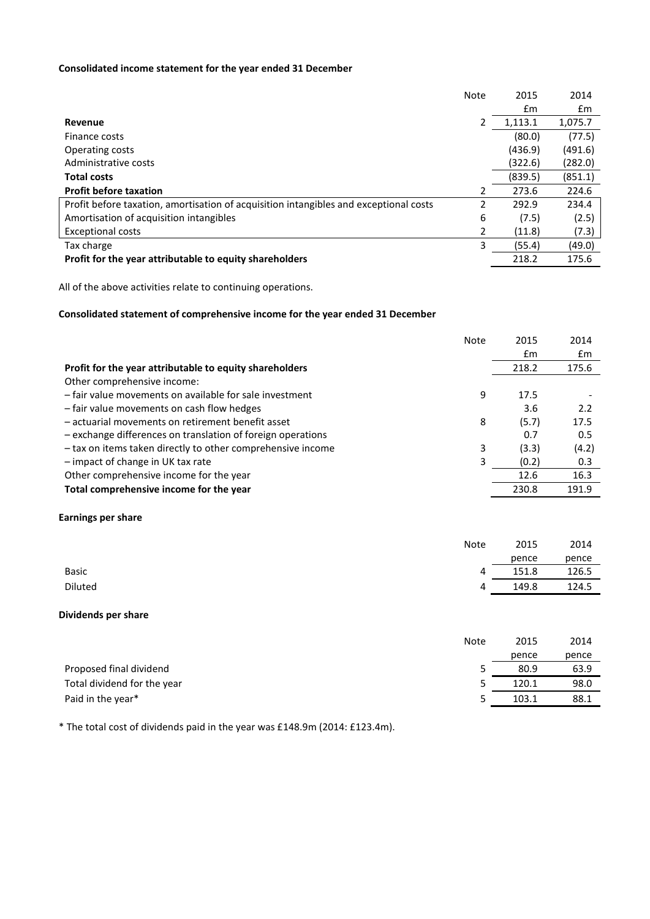## **Consolidated income statement for the year ended 31 December**

|                                                                                       | <b>Note</b> | 2015    | 2014    |
|---------------------------------------------------------------------------------------|-------------|---------|---------|
|                                                                                       |             | £m      | £m      |
| Revenue                                                                               | 2           | 1,113.1 | 1,075.7 |
| Finance costs                                                                         |             | (80.0)  | (77.5)  |
| Operating costs                                                                       |             | (436.9) | (491.6) |
| Administrative costs                                                                  |             | (322.6) | (282.0) |
| <b>Total costs</b>                                                                    |             | (839.5) | (851.1) |
| <b>Profit before taxation</b>                                                         | 2           | 273.6   | 224.6   |
| Profit before taxation, amortisation of acquisition intangibles and exceptional costs | 2           | 292.9   | 234.4   |
| Amortisation of acquisition intangibles                                               | 6           | (7.5)   | (2.5)   |
| <b>Exceptional costs</b>                                                              | 2           | (11.8)  | (7.3)   |
| Tax charge                                                                            | 3           | (55.4)  | (49.0)  |
| Profit for the year attributable to equity shareholders                               |             | 218.2   | 175.6   |

All of the above activities relate to continuing operations.

## **Consolidated statement of comprehensive income for the year ended 31 December**

|                                                             | <b>Note</b> | 2015          | 2014  |
|-------------------------------------------------------------|-------------|---------------|-------|
|                                                             |             | $\mathsf{fm}$ | £m    |
| Profit for the year attributable to equity shareholders     |             | 218.2         | 175.6 |
| Other comprehensive income:                                 |             |               |       |
| - fair value movements on available for sale investment     | 9           | 17.5          |       |
| - fair value movements on cash flow hedges                  |             | 3.6           | 2.2   |
| - actuarial movements on retirement benefit asset           | 8           | (5.7)         | 17.5  |
| - exchange differences on translation of foreign operations |             | 0.7           | 0.5   |
| - tax on items taken directly to other comprehensive income | 3           | (3.3)         | (4.2) |
| - impact of change in UK tax rate                           | 3           | (0.2)         | 0.3   |
| Other comprehensive income for the year                     |             | 12.6          | 16.3  |
| Total comprehensive income for the year                     |             | 230.8         | 191.9 |

## **Earnings per share**

|              | <b>Note</b> | 2015  | 2014  |
|--------------|-------------|-------|-------|
|              |             | pence | pence |
| <b>Basic</b> | 4           | 151.8 | 126.5 |
| Diluted      | 4           | 149.8 | 124.5 |

#### **Dividends per share**

|                             | <b>Note</b> | 2015  | 2014  |
|-----------------------------|-------------|-------|-------|
|                             |             | pence | pence |
| Proposed final dividend     |             | 80.9  | 63.9  |
| Total dividend for the year | כ           | 120.1 | 98.0  |
| Paid in the year*           | ↖           | 103.1 | 88.1  |

\* The total cost of dividends paid in the year was £148.9m (2014: £123.4m).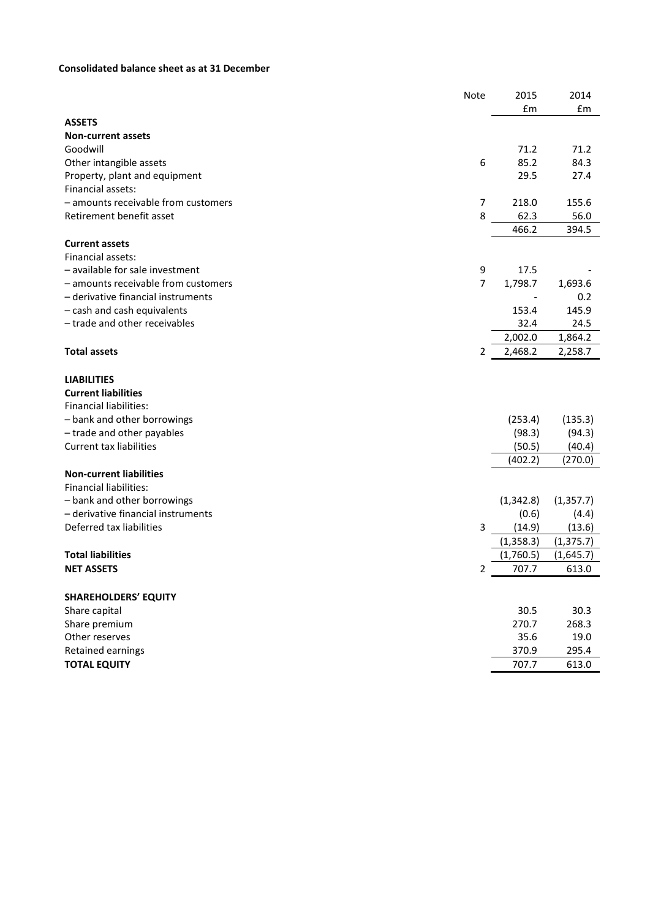## **Consolidated balance sheet as at 31 December**

| £m<br>£m<br><b>ASSETS</b><br><b>Non-current assets</b><br>Goodwill<br>71.2<br>71.2<br>6<br>85.2<br>84.3<br>Other intangible assets<br>29.5<br>27.4<br>Property, plant and equipment<br>Financial assets:<br>- amounts receivable from customers<br>218.0<br>155.6<br>7<br>Retirement benefit asset<br>8<br>62.3<br>56.0<br>466.2<br>394.5<br><b>Current assets</b><br>Financial assets:<br>- available for sale investment<br>9<br>17.5<br>7<br>- amounts receivable from customers<br>1,798.7<br>1,693.6<br>- derivative financial instruments<br>0.2<br>- cash and cash equivalents<br>153.4<br>145.9<br>- trade and other receivables<br>32.4<br>24.5<br>2,002.0<br>1,864.2<br>2,468.2<br><b>Total assets</b><br>2,258.7<br>2<br><b>LIABILITIES</b><br><b>Current liabilities</b><br><b>Financial liabilities:</b><br>- bank and other borrowings<br>(253.4)<br>(135.3)<br>- trade and other payables<br>(98.3)<br>(94.3)<br><b>Current tax liabilities</b><br>(50.5)<br>(40.4)<br>(402.2)<br>(270.0)<br><b>Non-current liabilities</b><br><b>Financial liabilities:</b><br>- bank and other borrowings<br>(1, 342.8)<br>(1, 357.7)<br>- derivative financial instruments<br>(0.6)<br>(4.4)<br>Deferred tax liabilities<br>3<br>(14.9)<br>(13.6)<br>(1, 358.3)<br>(1, 375.7)<br><b>Total liabilities</b><br>(1,760.5)<br>(1,645.7)<br><b>NET ASSETS</b><br>707.7<br>2<br>613.0<br><b>SHAREHOLDERS' EQUITY</b><br>30.5<br>30.3<br>Share capital<br>270.7<br>268.3<br>Share premium<br>Other reserves<br>35.6<br>19.0<br>Retained earnings<br>370.9<br>295.4 |                     | Note | 2015  | 2014  |
|---------------------------------------------------------------------------------------------------------------------------------------------------------------------------------------------------------------------------------------------------------------------------------------------------------------------------------------------------------------------------------------------------------------------------------------------------------------------------------------------------------------------------------------------------------------------------------------------------------------------------------------------------------------------------------------------------------------------------------------------------------------------------------------------------------------------------------------------------------------------------------------------------------------------------------------------------------------------------------------------------------------------------------------------------------------------------------------------------------------------------------------------------------------------------------------------------------------------------------------------------------------------------------------------------------------------------------------------------------------------------------------------------------------------------------------------------------------------------------------------------------------------------------------------------------------|---------------------|------|-------|-------|
|                                                                                                                                                                                                                                                                                                                                                                                                                                                                                                                                                                                                                                                                                                                                                                                                                                                                                                                                                                                                                                                                                                                                                                                                                                                                                                                                                                                                                                                                                                                                                               |                     |      |       |       |
|                                                                                                                                                                                                                                                                                                                                                                                                                                                                                                                                                                                                                                                                                                                                                                                                                                                                                                                                                                                                                                                                                                                                                                                                                                                                                                                                                                                                                                                                                                                                                               |                     |      |       |       |
|                                                                                                                                                                                                                                                                                                                                                                                                                                                                                                                                                                                                                                                                                                                                                                                                                                                                                                                                                                                                                                                                                                                                                                                                                                                                                                                                                                                                                                                                                                                                                               |                     |      |       |       |
|                                                                                                                                                                                                                                                                                                                                                                                                                                                                                                                                                                                                                                                                                                                                                                                                                                                                                                                                                                                                                                                                                                                                                                                                                                                                                                                                                                                                                                                                                                                                                               |                     |      |       |       |
|                                                                                                                                                                                                                                                                                                                                                                                                                                                                                                                                                                                                                                                                                                                                                                                                                                                                                                                                                                                                                                                                                                                                                                                                                                                                                                                                                                                                                                                                                                                                                               |                     |      |       |       |
|                                                                                                                                                                                                                                                                                                                                                                                                                                                                                                                                                                                                                                                                                                                                                                                                                                                                                                                                                                                                                                                                                                                                                                                                                                                                                                                                                                                                                                                                                                                                                               |                     |      |       |       |
|                                                                                                                                                                                                                                                                                                                                                                                                                                                                                                                                                                                                                                                                                                                                                                                                                                                                                                                                                                                                                                                                                                                                                                                                                                                                                                                                                                                                                                                                                                                                                               |                     |      |       |       |
|                                                                                                                                                                                                                                                                                                                                                                                                                                                                                                                                                                                                                                                                                                                                                                                                                                                                                                                                                                                                                                                                                                                                                                                                                                                                                                                                                                                                                                                                                                                                                               |                     |      |       |       |
|                                                                                                                                                                                                                                                                                                                                                                                                                                                                                                                                                                                                                                                                                                                                                                                                                                                                                                                                                                                                                                                                                                                                                                                                                                                                                                                                                                                                                                                                                                                                                               |                     |      |       |       |
|                                                                                                                                                                                                                                                                                                                                                                                                                                                                                                                                                                                                                                                                                                                                                                                                                                                                                                                                                                                                                                                                                                                                                                                                                                                                                                                                                                                                                                                                                                                                                               |                     |      |       |       |
|                                                                                                                                                                                                                                                                                                                                                                                                                                                                                                                                                                                                                                                                                                                                                                                                                                                                                                                                                                                                                                                                                                                                                                                                                                                                                                                                                                                                                                                                                                                                                               |                     |      |       |       |
|                                                                                                                                                                                                                                                                                                                                                                                                                                                                                                                                                                                                                                                                                                                                                                                                                                                                                                                                                                                                                                                                                                                                                                                                                                                                                                                                                                                                                                                                                                                                                               |                     |      |       |       |
|                                                                                                                                                                                                                                                                                                                                                                                                                                                                                                                                                                                                                                                                                                                                                                                                                                                                                                                                                                                                                                                                                                                                                                                                                                                                                                                                                                                                                                                                                                                                                               |                     |      |       |       |
|                                                                                                                                                                                                                                                                                                                                                                                                                                                                                                                                                                                                                                                                                                                                                                                                                                                                                                                                                                                                                                                                                                                                                                                                                                                                                                                                                                                                                                                                                                                                                               |                     |      |       |       |
|                                                                                                                                                                                                                                                                                                                                                                                                                                                                                                                                                                                                                                                                                                                                                                                                                                                                                                                                                                                                                                                                                                                                                                                                                                                                                                                                                                                                                                                                                                                                                               |                     |      |       |       |
|                                                                                                                                                                                                                                                                                                                                                                                                                                                                                                                                                                                                                                                                                                                                                                                                                                                                                                                                                                                                                                                                                                                                                                                                                                                                                                                                                                                                                                                                                                                                                               |                     |      |       |       |
|                                                                                                                                                                                                                                                                                                                                                                                                                                                                                                                                                                                                                                                                                                                                                                                                                                                                                                                                                                                                                                                                                                                                                                                                                                                                                                                                                                                                                                                                                                                                                               |                     |      |       |       |
|                                                                                                                                                                                                                                                                                                                                                                                                                                                                                                                                                                                                                                                                                                                                                                                                                                                                                                                                                                                                                                                                                                                                                                                                                                                                                                                                                                                                                                                                                                                                                               |                     |      |       |       |
|                                                                                                                                                                                                                                                                                                                                                                                                                                                                                                                                                                                                                                                                                                                                                                                                                                                                                                                                                                                                                                                                                                                                                                                                                                                                                                                                                                                                                                                                                                                                                               |                     |      |       |       |
|                                                                                                                                                                                                                                                                                                                                                                                                                                                                                                                                                                                                                                                                                                                                                                                                                                                                                                                                                                                                                                                                                                                                                                                                                                                                                                                                                                                                                                                                                                                                                               |                     |      |       |       |
|                                                                                                                                                                                                                                                                                                                                                                                                                                                                                                                                                                                                                                                                                                                                                                                                                                                                                                                                                                                                                                                                                                                                                                                                                                                                                                                                                                                                                                                                                                                                                               |                     |      |       |       |
|                                                                                                                                                                                                                                                                                                                                                                                                                                                                                                                                                                                                                                                                                                                                                                                                                                                                                                                                                                                                                                                                                                                                                                                                                                                                                                                                                                                                                                                                                                                                                               |                     |      |       |       |
|                                                                                                                                                                                                                                                                                                                                                                                                                                                                                                                                                                                                                                                                                                                                                                                                                                                                                                                                                                                                                                                                                                                                                                                                                                                                                                                                                                                                                                                                                                                                                               |                     |      |       |       |
|                                                                                                                                                                                                                                                                                                                                                                                                                                                                                                                                                                                                                                                                                                                                                                                                                                                                                                                                                                                                                                                                                                                                                                                                                                                                                                                                                                                                                                                                                                                                                               |                     |      |       |       |
|                                                                                                                                                                                                                                                                                                                                                                                                                                                                                                                                                                                                                                                                                                                                                                                                                                                                                                                                                                                                                                                                                                                                                                                                                                                                                                                                                                                                                                                                                                                                                               |                     |      |       |       |
|                                                                                                                                                                                                                                                                                                                                                                                                                                                                                                                                                                                                                                                                                                                                                                                                                                                                                                                                                                                                                                                                                                                                                                                                                                                                                                                                                                                                                                                                                                                                                               |                     |      |       |       |
|                                                                                                                                                                                                                                                                                                                                                                                                                                                                                                                                                                                                                                                                                                                                                                                                                                                                                                                                                                                                                                                                                                                                                                                                                                                                                                                                                                                                                                                                                                                                                               |                     |      |       |       |
|                                                                                                                                                                                                                                                                                                                                                                                                                                                                                                                                                                                                                                                                                                                                                                                                                                                                                                                                                                                                                                                                                                                                                                                                                                                                                                                                                                                                                                                                                                                                                               |                     |      |       |       |
|                                                                                                                                                                                                                                                                                                                                                                                                                                                                                                                                                                                                                                                                                                                                                                                                                                                                                                                                                                                                                                                                                                                                                                                                                                                                                                                                                                                                                                                                                                                                                               |                     |      |       |       |
|                                                                                                                                                                                                                                                                                                                                                                                                                                                                                                                                                                                                                                                                                                                                                                                                                                                                                                                                                                                                                                                                                                                                                                                                                                                                                                                                                                                                                                                                                                                                                               |                     |      |       |       |
|                                                                                                                                                                                                                                                                                                                                                                                                                                                                                                                                                                                                                                                                                                                                                                                                                                                                                                                                                                                                                                                                                                                                                                                                                                                                                                                                                                                                                                                                                                                                                               |                     |      |       |       |
|                                                                                                                                                                                                                                                                                                                                                                                                                                                                                                                                                                                                                                                                                                                                                                                                                                                                                                                                                                                                                                                                                                                                                                                                                                                                                                                                                                                                                                                                                                                                                               |                     |      |       |       |
|                                                                                                                                                                                                                                                                                                                                                                                                                                                                                                                                                                                                                                                                                                                                                                                                                                                                                                                                                                                                                                                                                                                                                                                                                                                                                                                                                                                                                                                                                                                                                               |                     |      |       |       |
|                                                                                                                                                                                                                                                                                                                                                                                                                                                                                                                                                                                                                                                                                                                                                                                                                                                                                                                                                                                                                                                                                                                                                                                                                                                                                                                                                                                                                                                                                                                                                               |                     |      |       |       |
|                                                                                                                                                                                                                                                                                                                                                                                                                                                                                                                                                                                                                                                                                                                                                                                                                                                                                                                                                                                                                                                                                                                                                                                                                                                                                                                                                                                                                                                                                                                                                               |                     |      |       |       |
|                                                                                                                                                                                                                                                                                                                                                                                                                                                                                                                                                                                                                                                                                                                                                                                                                                                                                                                                                                                                                                                                                                                                                                                                                                                                                                                                                                                                                                                                                                                                                               |                     |      |       |       |
|                                                                                                                                                                                                                                                                                                                                                                                                                                                                                                                                                                                                                                                                                                                                                                                                                                                                                                                                                                                                                                                                                                                                                                                                                                                                                                                                                                                                                                                                                                                                                               |                     |      |       |       |
|                                                                                                                                                                                                                                                                                                                                                                                                                                                                                                                                                                                                                                                                                                                                                                                                                                                                                                                                                                                                                                                                                                                                                                                                                                                                                                                                                                                                                                                                                                                                                               |                     |      |       |       |
|                                                                                                                                                                                                                                                                                                                                                                                                                                                                                                                                                                                                                                                                                                                                                                                                                                                                                                                                                                                                                                                                                                                                                                                                                                                                                                                                                                                                                                                                                                                                                               |                     |      |       |       |
|                                                                                                                                                                                                                                                                                                                                                                                                                                                                                                                                                                                                                                                                                                                                                                                                                                                                                                                                                                                                                                                                                                                                                                                                                                                                                                                                                                                                                                                                                                                                                               |                     |      |       |       |
|                                                                                                                                                                                                                                                                                                                                                                                                                                                                                                                                                                                                                                                                                                                                                                                                                                                                                                                                                                                                                                                                                                                                                                                                                                                                                                                                                                                                                                                                                                                                                               | <b>TOTAL EQUITY</b> |      | 707.7 | 613.0 |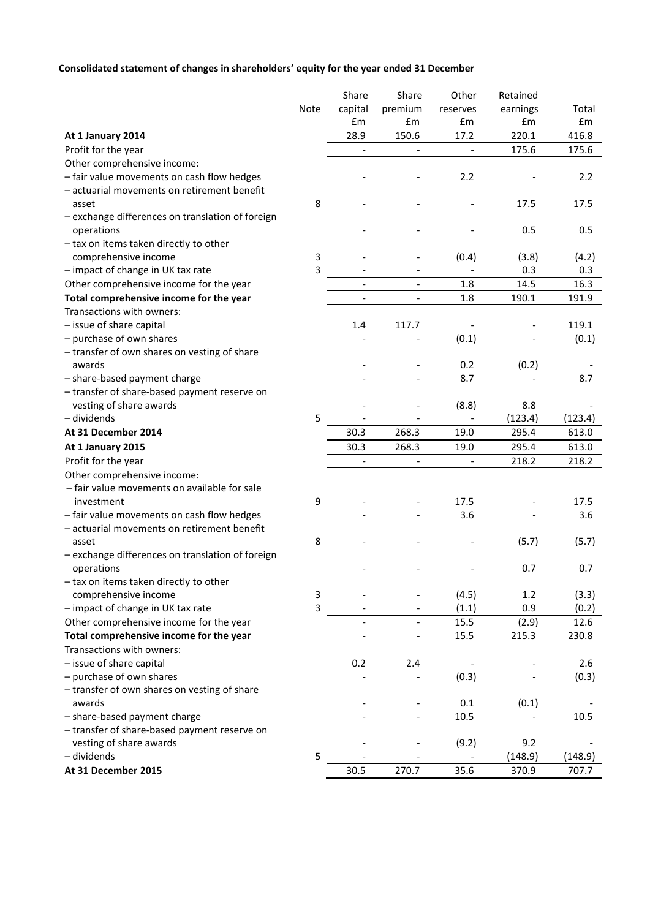# **Consolidated statement of changes in shareholders' equity for the year ended 31 December**

|                                                  |                | Share                    | Share                    | Other                    | Retained |         |
|--------------------------------------------------|----------------|--------------------------|--------------------------|--------------------------|----------|---------|
|                                                  | Note           | capital                  | premium                  | reserves                 | earnings | Total   |
|                                                  |                | £m                       | £m                       | £m                       | £m       | £m      |
| At 1 January 2014                                |                | 28.9                     | 150.6                    | 17.2                     | 220.1    | 416.8   |
| Profit for the year                              |                |                          |                          | $\overline{\phantom{a}}$ | 175.6    | 175.6   |
| Other comprehensive income:                      |                |                          |                          |                          |          |         |
| - fair value movements on cash flow hedges       |                |                          |                          | 2.2                      |          | 2.2     |
| - actuarial movements on retirement benefit      |                |                          |                          |                          |          |         |
| asset                                            | 8              |                          |                          |                          | 17.5     | 17.5    |
| - exchange differences on translation of foreign |                |                          |                          |                          |          |         |
| operations                                       |                |                          |                          |                          | 0.5      | 0.5     |
| - tax on items taken directly to other           |                |                          |                          |                          |          |         |
| comprehensive income                             | 3              |                          |                          | (0.4)                    | (3.8)    | (4.2)   |
| - impact of change in UK tax rate                | $\overline{3}$ |                          |                          |                          | 0.3      | 0.3     |
| Other comprehensive income for the year          |                |                          | $\overline{\phantom{a}}$ | 1.8                      | 14.5     | 16.3    |
| Total comprehensive income for the year          |                |                          | $\overline{\phantom{a}}$ | 1.8                      | 190.1    | 191.9   |
| Transactions with owners:                        |                |                          |                          |                          |          |         |
| - issue of share capital                         |                | 1.4                      | 117.7                    |                          |          | 119.1   |
| - purchase of own shares                         |                |                          |                          | (0.1)                    |          | (0.1)   |
| - transfer of own shares on vesting of share     |                |                          |                          |                          |          |         |
| awards                                           |                |                          |                          | 0.2                      | (0.2)    |         |
| - share-based payment charge                     |                |                          |                          | 8.7                      |          | 8.7     |
| - transfer of share-based payment reserve on     |                |                          |                          |                          |          |         |
| vesting of share awards                          |                |                          |                          | (8.8)                    | 8.8      |         |
| - dividends                                      | 5              |                          |                          |                          | (123.4)  | (123.4) |
| At 31 December 2014                              |                | 30.3                     | 268.3                    | 19.0                     | 295.4    | 613.0   |
| At 1 January 2015                                |                | 30.3                     | 268.3                    | 19.0                     | 295.4    | 613.0   |
| Profit for the year                              |                | $\overline{\phantom{a}}$ | $\overline{\phantom{a}}$ | $\overline{\phantom{a}}$ | 218.2    | 218.2   |
| Other comprehensive income:                      |                |                          |                          |                          |          |         |
| - fair value movements on available for sale     |                |                          |                          |                          |          |         |
| investment                                       | 9              |                          |                          | 17.5                     |          | 17.5    |
| - fair value movements on cash flow hedges       |                |                          |                          | 3.6                      |          | 3.6     |
| - actuarial movements on retirement benefit      |                |                          |                          |                          |          |         |
| asset                                            | 8              |                          |                          |                          | (5.7)    | (5.7)   |
| - exchange differences on translation of foreign |                |                          |                          |                          |          |         |
| operations                                       |                |                          |                          |                          | 0.7      | 0.7     |
| - tax on items taken directly to other           |                |                          |                          |                          |          |         |
| comprehensive income                             | 3              |                          |                          | (4.5)                    | 1.2      | (3.3)   |
| - impact of change in UK tax rate                | 3              |                          |                          | (1.1)                    | 0.9      | (0.2)   |
| Other comprehensive income for the year          |                |                          |                          | 15.5                     | (2.9)    | 12.6    |
| Total comprehensive income for the year          |                |                          |                          | 15.5                     | 215.3    | 230.8   |
| Transactions with owners:                        |                |                          |                          |                          |          |         |
| - issue of share capital                         |                | 0.2                      | 2.4                      |                          |          | 2.6     |
| - purchase of own shares                         |                |                          |                          | (0.3)                    |          | (0.3)   |
| - transfer of own shares on vesting of share     |                |                          |                          |                          |          |         |
| awards                                           |                |                          |                          | 0.1                      | (0.1)    |         |
| - share-based payment charge                     |                |                          |                          | 10.5                     |          | 10.5    |
| - transfer of share-based payment reserve on     |                |                          |                          |                          |          |         |
| vesting of share awards                          |                |                          |                          | (9.2)                    | 9.2      |         |
| - dividends                                      | 5              |                          |                          |                          | (148.9)  | (148.9) |
| At 31 December 2015                              |                | 30.5                     | 270.7                    | 35.6                     | 370.9    | 707.7   |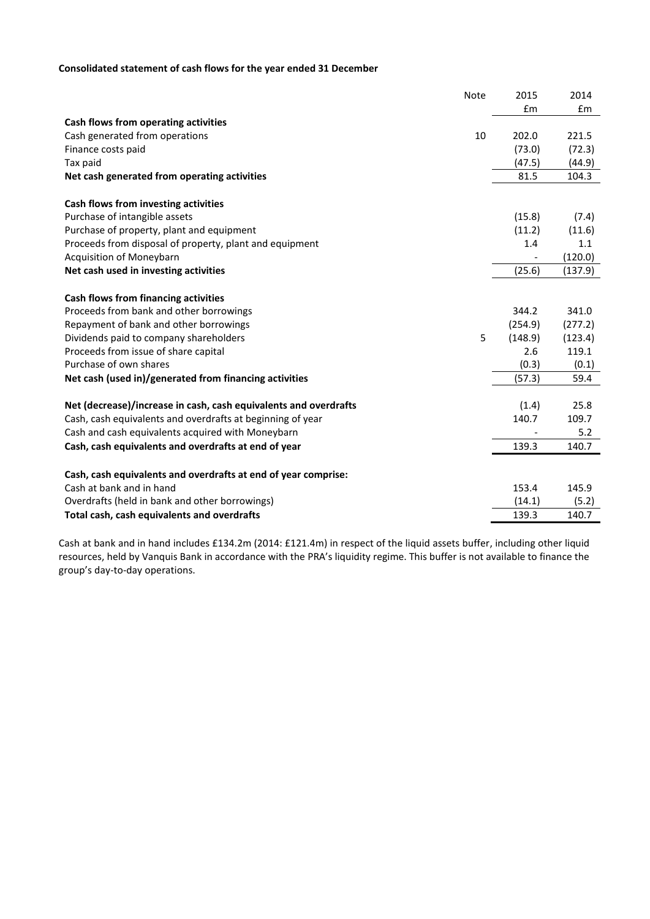## **Consolidated statement of cash flows for the year ended 31 December**

|                                                                  | Note | 2015    | 2014    |
|------------------------------------------------------------------|------|---------|---------|
|                                                                  |      | £m      | £m      |
| Cash flows from operating activities                             |      |         |         |
| Cash generated from operations                                   | 10   | 202.0   | 221.5   |
| Finance costs paid                                               |      | (73.0)  | (72.3)  |
| Tax paid                                                         |      | (47.5)  | (44.9)  |
| Net cash generated from operating activities                     |      | 81.5    | 104.3   |
| Cash flows from investing activities                             |      |         |         |
| Purchase of intangible assets                                    |      | (15.8)  | (7.4)   |
| Purchase of property, plant and equipment                        |      | (11.2)  | (11.6)  |
| Proceeds from disposal of property, plant and equipment          |      | 1.4     | 1.1     |
| Acquisition of Moneybarn                                         |      |         | (120.0) |
| Net cash used in investing activities                            |      | (25.6)  | (137.9) |
| Cash flows from financing activities                             |      |         |         |
| Proceeds from bank and other borrowings                          |      | 344.2   | 341.0   |
| Repayment of bank and other borrowings                           |      | (254.9) | (277.2) |
| Dividends paid to company shareholders                           | 5    | (148.9) | (123.4) |
| Proceeds from issue of share capital                             |      | 2.6     | 119.1   |
| Purchase of own shares                                           |      | (0.3)   | (0.1)   |
| Net cash (used in)/generated from financing activities           |      | (57.3)  | 59.4    |
| Net (decrease)/increase in cash, cash equivalents and overdrafts |      | (1.4)   | 25.8    |
| Cash, cash equivalents and overdrafts at beginning of year       |      | 140.7   | 109.7   |
| Cash and cash equivalents acquired with Moneybarn                |      |         | 5.2     |
| Cash, cash equivalents and overdrafts at end of year             |      | 139.3   | 140.7   |
| Cash, cash equivalents and overdrafts at end of year comprise:   |      |         |         |
| Cash at bank and in hand                                         |      | 153.4   | 145.9   |
| Overdrafts (held in bank and other borrowings)                   |      | (14.1)  | (5.2)   |
| Total cash, cash equivalents and overdrafts                      |      | 139.3   | 140.7   |

Cash at bank and in hand includes £134.2m (2014: £121.4m) in respect of the liquid assets buffer, including other liquid resources, held by Vanquis Bank in accordance with the PRA's liquidity regime. This buffer is not available to finance the group's day-to-day operations.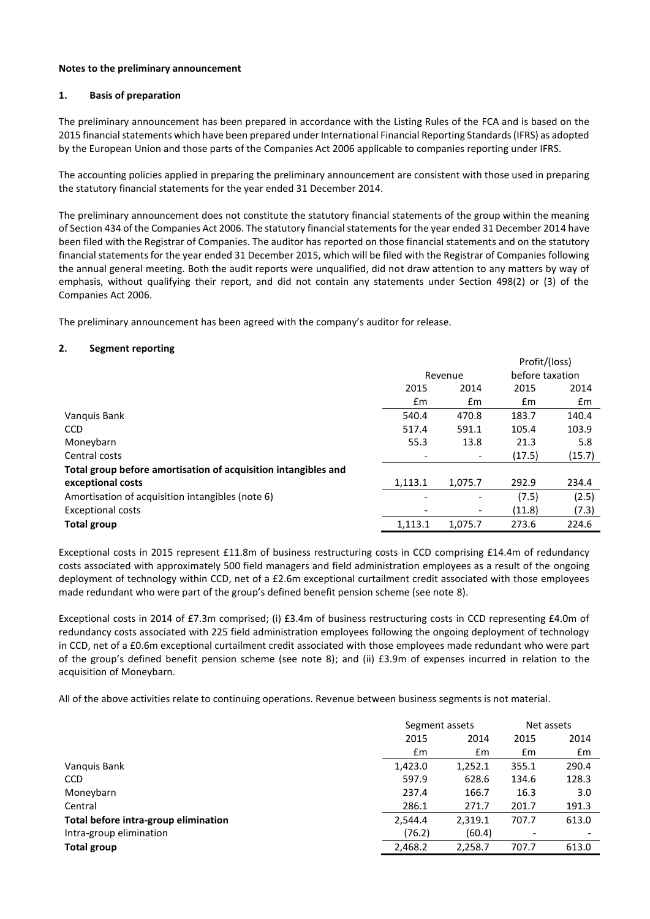#### **Notes to the preliminary announcement**

#### **1. Basis of preparation**

The preliminary announcement has been prepared in accordance with the Listing Rules of the FCA and is based on the 2015 financial statements which have been prepared under International Financial Reporting Standards (IFRS) as adopted by the European Union and those parts of the Companies Act 2006 applicable to companies reporting under IFRS.

The accounting policies applied in preparing the preliminary announcement are consistent with those used in preparing the statutory financial statements for the year ended 31 December 2014.

The preliminary announcement does not constitute the statutory financial statements of the group within the meaning of Section 434 of the Companies Act 2006. The statutory financial statements for the year ended 31 December 2014 have been filed with the Registrar of Companies. The auditor has reported on those financial statements and on the statutory financial statements for the year ended 31 December 2015, which will be filed with the Registrar of Companies following the annual general meeting. Both the audit reports were unqualified, did not draw attention to any matters by way of emphasis, without qualifying their report, and did not contain any statements under Section 498(2) or (3) of the Companies Act 2006.

The preliminary announcement has been agreed with the company's auditor for release.

#### **2. Segment reporting**

|                                                                |                          |         | Profit/(loss)   |        |
|----------------------------------------------------------------|--------------------------|---------|-----------------|--------|
|                                                                | Revenue                  |         | before taxation |        |
|                                                                | 2015                     | 2014    | 2015            | 2014   |
|                                                                | Em                       | Em      | Em              | Em     |
| Vanquis Bank                                                   | 540.4                    | 470.8   | 183.7           | 140.4  |
| <b>CCD</b>                                                     | 517.4                    | 591.1   | 105.4           | 103.9  |
| Moneybarn                                                      | 55.3                     | 13.8    | 21.3            | 5.8    |
| Central costs                                                  | $\overline{\phantom{a}}$ |         | (17.5)          | (15.7) |
| Total group before amortisation of acquisition intangibles and |                          |         |                 |        |
| exceptional costs                                              | 1,113.1                  | 1,075.7 | 292.9           | 234.4  |
| Amortisation of acquisition intangibles (note 6)               | ٠                        | -       | (7.5)           | (2.5)  |
| <b>Exceptional costs</b>                                       |                          |         | (11.8)          | (7.3)  |
| Total group                                                    | 1.113.1                  | 1,075.7 | 273.6           | 224.6  |

Exceptional costs in 2015 represent £11.8m of business restructuring costs in CCD comprising £14.4m of redundancy costs associated with approximately 500 field managers and field administration employees as a result of the ongoing deployment of technology within CCD, net of a £2.6m exceptional curtailment credit associated with those employees made redundant who were part of the group's defined benefit pension scheme (see note 8).

Exceptional costs in 2014 of £7.3m comprised; (i) £3.4m of business restructuring costs in CCD representing £4.0m of redundancy costs associated with 225 field administration employees following the ongoing deployment of technology in CCD, net of a £0.6m exceptional curtailment credit associated with those employees made redundant who were part of the group's defined benefit pension scheme (see note 8); and (ii) £3.9m of expenses incurred in relation to the acquisition of Moneybarn*.*

All of the above activities relate to continuing operations. Revenue between business segments is not material.

|                                      | Segment assets |         |       | Net assets |
|--------------------------------------|----------------|---------|-------|------------|
|                                      | 2015<br>2014   |         | 2015  | 2014       |
|                                      | £m             | £m      | £m    | £m         |
| Vanguis Bank                         | 1,423.0        | 1,252.1 | 355.1 | 290.4      |
| <b>CCD</b>                           | 597.9          | 628.6   | 134.6 | 128.3      |
| Moneybarn                            | 237.4          | 166.7   | 16.3  | 3.0        |
| Central                              | 286.1          | 271.7   | 201.7 | 191.3      |
| Total before intra-group elimination | 2,544.4        | 2,319.1 | 707.7 | 613.0      |
| Intra-group elimination              | (76.2)         | (60.4)  |       |            |
| Total group                          | 2,468.2        | 2,258.7 | 707.7 | 613.0      |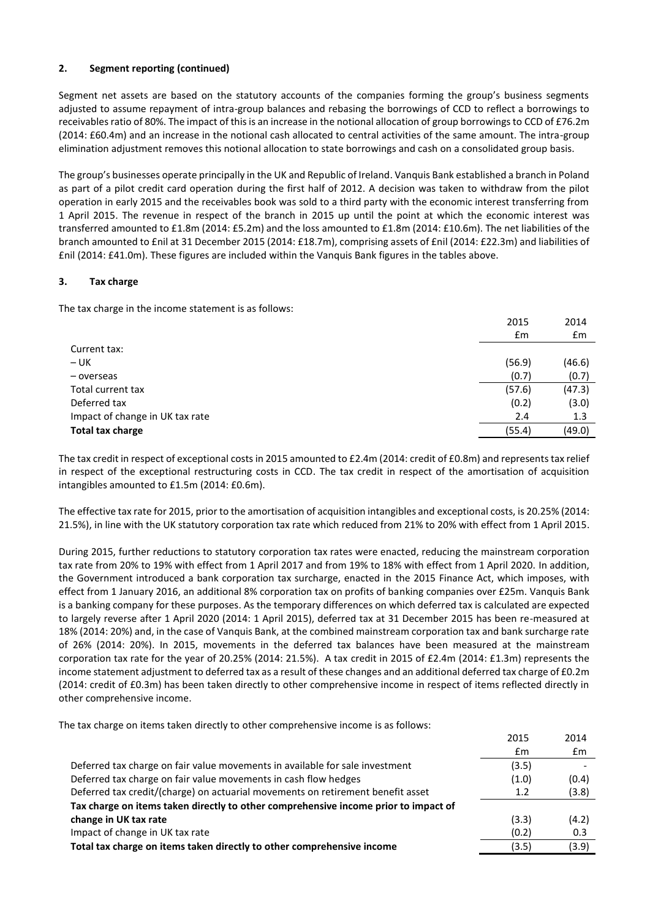## **2. Segment reporting (continued)**

Segment net assets are based on the statutory accounts of the companies forming the group's business segments adjusted to assume repayment of intra-group balances and rebasing the borrowings of CCD to reflect a borrowings to receivables ratio of 80%. The impact of this is an increase in the notional allocation of group borrowings to CCD of £76.2m (2014: £60.4m) and an increase in the notional cash allocated to central activities of the same amount. The intra-group elimination adjustment removes this notional allocation to state borrowings and cash on a consolidated group basis.

The group's businesses operate principally in the UK and Republic of Ireland. Vanquis Bank established a branch in Poland as part of a pilot credit card operation during the first half of 2012. A decision was taken to withdraw from the pilot operation in early 2015 and the receivables book was sold to a third party with the economic interest transferring from 1 April 2015. The revenue in respect of the branch in 2015 up until the point at which the economic interest was transferred amounted to £1.8m (2014: £5.2m) and the loss amounted to £1.8m (2014: £10.6m). The net liabilities of the branch amounted to £nil at 31 December 2015 (2014: £18.7m), comprising assets of £nil (2014: £22.3m) and liabilities of £nil (2014: £41.0m). These figures are included within the Vanquis Bank figures in the tables above.

#### **3. Tax charge**

The tax charge in the income statement is as follows:

|                                 | 2015           | 2014   |
|---------------------------------|----------------|--------|
|                                 | $\mathbf{f}$ m | £m     |
| Current tax:                    |                |        |
| $- UK$                          | (56.9)         | (46.6) |
| - overseas                      | (0.7)          | (0.7)  |
| Total current tax               | (57.6)         | (47.3) |
| Deferred tax                    | (0.2)          | (3.0)  |
| Impact of change in UK tax rate | 2.4            | 1.3    |
| Total tax charge                | (55.4)         | (49.0) |

The tax credit in respect of exceptional costs in 2015 amounted to £2.4m (2014: credit of £0.8m) and represents tax relief in respect of the exceptional restructuring costs in CCD. The tax credit in respect of the amortisation of acquisition intangibles amounted to £1.5m (2014: £0.6m).

The effective tax rate for 2015, prior to the amortisation of acquisition intangibles and exceptional costs, is 20.25% (2014: 21.5%), in line with the UK statutory corporation tax rate which reduced from 21% to 20% with effect from 1 April 2015.

During 2015, further reductions to statutory corporation tax rates were enacted, reducing the mainstream corporation tax rate from 20% to 19% with effect from 1 April 2017 and from 19% to 18% with effect from 1 April 2020. In addition, the Government introduced a bank corporation tax surcharge, enacted in the 2015 Finance Act, which imposes, with effect from 1 January 2016, an additional 8% corporation tax on profits of banking companies over £25m. Vanquis Bank is a banking company for these purposes. As the temporary differences on which deferred tax is calculated are expected to largely reverse after 1 April 2020 (2014: 1 April 2015), deferred tax at 31 December 2015 has been re-measured at 18% (2014: 20%) and, in the case of Vanquis Bank, at the combined mainstream corporation tax and bank surcharge rate of 26% (2014: 20%). In 2015, movements in the deferred tax balances have been measured at the mainstream corporation tax rate for the year of 20.25% (2014: 21.5%). A tax credit in 2015 of £2.4m (2014: £1.3m) represents the income statement adjustment to deferred tax as a result of these changes and an additional deferred tax charge of £0.2m (2014: credit of £0.3m) has been taken directly to other comprehensive income in respect of items reflected directly in other comprehensive income.

The tax charge on items taken directly to other comprehensive income is as follows:

|                                                                                     | 2015          | 2014  |
|-------------------------------------------------------------------------------------|---------------|-------|
|                                                                                     | $\mathsf{fm}$ | £m    |
| Deferred tax charge on fair value movements in available for sale investment        | (3.5)         |       |
| Deferred tax charge on fair value movements in cash flow hedges                     | (1.0)         | (0.4) |
| Deferred tax credit/(charge) on actuarial movements on retirement benefit asset     | 1.2           | (3.8) |
| Tax charge on items taken directly to other comprehensive income prior to impact of |               |       |
| change in UK tax rate                                                               | (3.3)         | (4.2) |
| Impact of change in UK tax rate                                                     | (0.2)         | 0.3   |
| Total tax charge on items taken directly to other comprehensive income              | (3.5)         | (3.9) |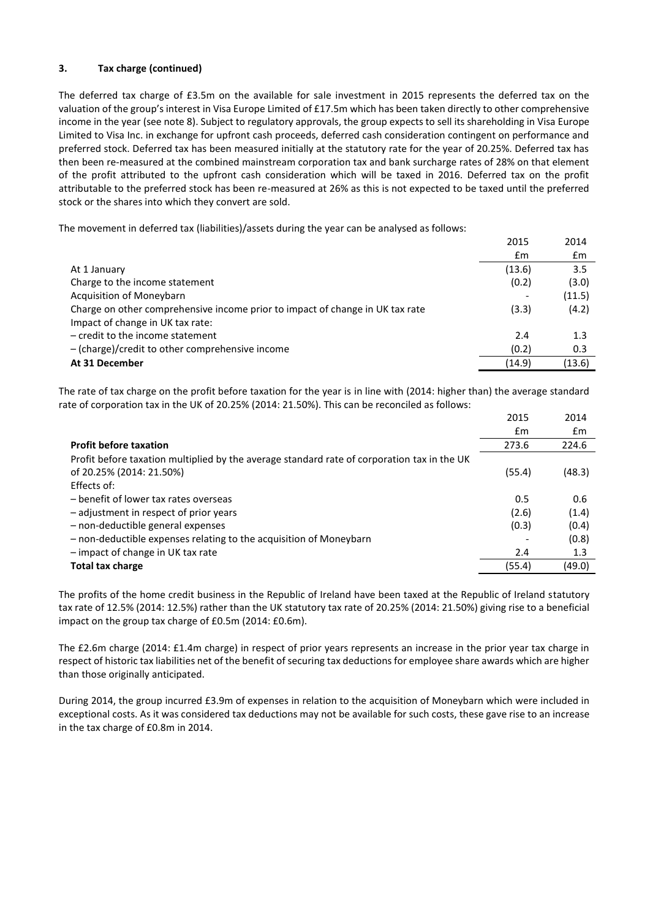## **3. Tax charge (continued)**

The deferred tax charge of £3.5m on the available for sale investment in 2015 represents the deferred tax on the valuation of the group's interest in Visa Europe Limited of £17.5m which has been taken directly to other comprehensive income in the year (see note 8). Subject to regulatory approvals, the group expects to sell its shareholding in Visa Europe Limited to Visa Inc. in exchange for upfront cash proceeds, deferred cash consideration contingent on performance and preferred stock. Deferred tax has been measured initially at the statutory rate for the year of 20.25%. Deferred tax has then been re-measured at the combined mainstream corporation tax and bank surcharge rates of 28% on that element of the profit attributed to the upfront cash consideration which will be taxed in 2016. Deferred tax on the profit attributable to the preferred stock has been re-measured at 26% as this is not expected to be taxed until the preferred stock or the shares into which they convert are sold.

The movement in deferred tax (liabilities)/assets during the year can be analysed as follows:

|                                                                               | 2015           | 2014           |
|-------------------------------------------------------------------------------|----------------|----------------|
|                                                                               | $\mathbf{f}$ m | $\mathbf{f}$ m |
| At 1 January                                                                  | (13.6)         | 3.5            |
| Charge to the income statement                                                | (0.2)          | (3.0)          |
| <b>Acquisition of Moneybarn</b>                                               |                | (11.5)         |
| Charge on other comprehensive income prior to impact of change in UK tax rate | (3.3)          | (4.2)          |
| Impact of change in UK tax rate:                                              |                |                |
| $-$ credit to the income statement                                            | 2.4            | 1.3            |
| $-$ (charge)/credit to other comprehensive income                             | (0.2)          | 0.3            |
| At 31 December                                                                | (14.9)         | (13.6)         |

The rate of tax charge on the profit before taxation for the year is in line with (2014: higher than) the average standard rate of corporation tax in the UK of 20.25% (2014: 21.50%). This can be reconciled as follows:

|                                                                                             | 2015   | 2014   |
|---------------------------------------------------------------------------------------------|--------|--------|
|                                                                                             | £m     | £m     |
| <b>Profit before taxation</b>                                                               | 273.6  | 224.6  |
| Profit before taxation multiplied by the average standard rate of corporation tax in the UK |        |        |
| of 20.25% (2014: 21.50%)                                                                    | (55.4) | (48.3) |
| Effects of:                                                                                 |        |        |
| - benefit of lower tax rates overseas                                                       | 0.5    | 0.6    |
| - adjustment in respect of prior years                                                      | (2.6)  | (1.4)  |
| - non-deductible general expenses                                                           | (0.3)  | (0.4)  |
| - non-deductible expenses relating to the acquisition of Moneybarn                          |        | (0.8)  |
| - impact of change in UK tax rate                                                           | 2.4    | 1.3    |
| <b>Total tax charge</b>                                                                     | (55.4) | (49.0) |

The profits of the home credit business in the Republic of Ireland have been taxed at the Republic of Ireland statutory tax rate of 12.5% (2014: 12.5%) rather than the UK statutory tax rate of 20.25% (2014: 21.50%) giving rise to a beneficial impact on the group tax charge of £0.5m (2014: £0.6m).

The £2.6m charge (2014: £1.4m charge) in respect of prior years represents an increase in the prior year tax charge in respect of historic tax liabilities net of the benefit of securing tax deductions for employee share awards which are higher than those originally anticipated.

During 2014, the group incurred £3.9m of expenses in relation to the acquisition of Moneybarn which were included in exceptional costs. As it was considered tax deductions may not be available for such costs, these gave rise to an increase in the tax charge of £0.8m in 2014.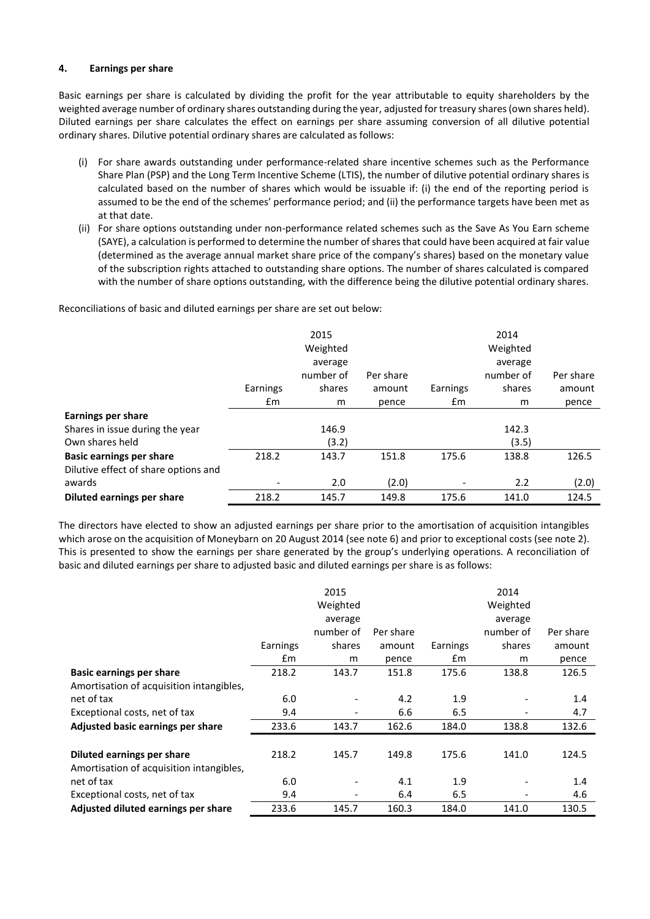#### **4. Earnings per share**

Basic earnings per share is calculated by dividing the profit for the year attributable to equity shareholders by the weighted average number of ordinary shares outstanding during the year, adjusted for treasury shares (own shares held). Diluted earnings per share calculates the effect on earnings per share assuming conversion of all dilutive potential ordinary shares. Dilutive potential ordinary shares are calculated as follows:

- (i) For share awards outstanding under performance-related share incentive schemes such as the Performance Share Plan (PSP) and the Long Term Incentive Scheme (LTIS), the number of dilutive potential ordinary shares is calculated based on the number of shares which would be issuable if: (i) the end of the reporting period is assumed to be the end of the schemes' performance period; and (ii) the performance targets have been met as at that date.
- (ii) For share options outstanding under non-performance related schemes such as the Save As You Earn scheme (SAYE), a calculation is performed to determine the number of shares that could have been acquired at fair value (determined as the average annual market share price of the company's shares) based on the monetary value of the subscription rights attached to outstanding share options. The number of shares calculated is compared with the number of share options outstanding, with the difference being the dilutive potential ordinary shares.

Reconciliations of basic and diluted earnings per share are set out below:

|                                      | Earnings<br>£m | 2015<br>Weighted<br>average<br>number of<br>shares<br>m | Per share<br>amount<br>pence | Earnings<br>£m | 2014<br>Weighted<br>average<br>number of<br>shares<br>m | Per share<br>amount<br>pence |
|--------------------------------------|----------------|---------------------------------------------------------|------------------------------|----------------|---------------------------------------------------------|------------------------------|
| <b>Earnings per share</b>            |                |                                                         |                              |                |                                                         |                              |
| Shares in issue during the year      |                | 146.9                                                   |                              |                | 142.3                                                   |                              |
| Own shares held                      |                | (3.2)                                                   |                              |                | (3.5)                                                   |                              |
| <b>Basic earnings per share</b>      | 218.2          | 143.7                                                   | 151.8                        | 175.6          | 138.8                                                   | 126.5                        |
| Dilutive effect of share options and |                |                                                         |                              |                |                                                         |                              |
| awards                               |                | 2.0                                                     | (2.0)                        |                | 2.2                                                     | (2.0)                        |
| <b>Diluted earnings per share</b>    | 218.2          | 145.7                                                   | 149.8                        | 175.6          | 141.0                                                   | 124.5                        |

The directors have elected to show an adjusted earnings per share prior to the amortisation of acquisition intangibles which arose on the acquisition of Moneybarn on 20 August 2014 (see note 6) and prior to exceptional costs (see note 2). This is presented to show the earnings per share generated by the group's underlying operations. A reconciliation of basic and diluted earnings per share to adjusted basic and diluted earnings per share is as follows:

|                                          |               | 2015      |           |               | 2014      |           |
|------------------------------------------|---------------|-----------|-----------|---------------|-----------|-----------|
|                                          |               | Weighted  |           |               | Weighted  |           |
|                                          |               | average   |           |               | average   |           |
|                                          |               | number of | Per share |               | number of | Per share |
|                                          | Earnings      | shares    | amount    | Earnings      | shares    | amount    |
|                                          | $\mathsf{fm}$ | m         | pence     | $\mathsf{fm}$ | m         | pence     |
| <b>Basic earnings per share</b>          | 218.2         | 143.7     | 151.8     | 175.6         | 138.8     | 126.5     |
| Amortisation of acquisition intangibles, |               |           |           |               |           |           |
| net of tax                               | 6.0           |           | 4.2       | 1.9           |           | 1.4       |
| Exceptional costs, net of tax            | 9.4           |           | 6.6       | 6.5           |           | 4.7       |
| Adjusted basic earnings per share        | 233.6         | 143.7     | 162.6     | 184.0         | 138.8     | 132.6     |
|                                          |               |           |           |               |           |           |
| Diluted earnings per share               | 218.2         | 145.7     | 149.8     | 175.6         | 141.0     | 124.5     |
| Amortisation of acquisition intangibles, |               |           |           |               |           |           |
| net of tax                               | 6.0           |           | 4.1       | 1.9           |           | 1.4       |
| Exceptional costs, net of tax            | 9.4           | -         | 6.4       | 6.5           | -         | 4.6       |
| Adjusted diluted earnings per share      | 233.6         | 145.7     | 160.3     | 184.0         | 141.0     | 130.5     |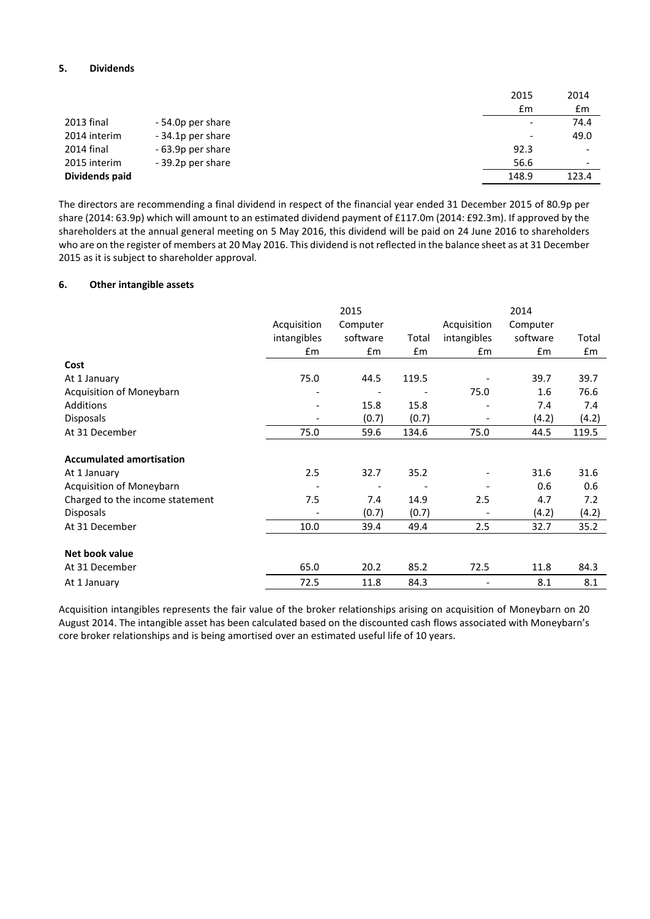## **5. Dividends**

|                |                   | 2015                     | 2014                     |
|----------------|-------------------|--------------------------|--------------------------|
|                |                   | £m                       | £m                       |
| 2013 final     | - 54.0p per share | $\overline{\phantom{a}}$ | 74.4                     |
| 2014 interim   | -34.1p per share  | $\qquad \qquad$          | 49.0                     |
| 2014 final     | - 63.9p per share | 92.3                     |                          |
| 2015 interim   | -39.2p per share  | 56.6                     | $\overline{\phantom{0}}$ |
| Dividends paid |                   | 148.9                    | 123.4                    |

The directors are recommending a final dividend in respect of the financial year ended 31 December 2015 of 80.9p per share (2014: 63.9p) which will amount to an estimated dividend payment of £117.0m (2014: £92.3m). If approved by the shareholders at the annual general meeting on 5 May 2016, this dividend will be paid on 24 June 2016 to shareholders who are on the register of members at 20 May 2016. This dividend is not reflected in the balance sheet as at 31 December 2015 as it is subject to shareholder approval.

#### **6. Other intangible assets**

|                                 |                          | 2015     |       |                          | 2014     |       |
|---------------------------------|--------------------------|----------|-------|--------------------------|----------|-------|
|                                 | Acquisition              | Computer |       | Acquisition              | Computer |       |
|                                 | intangibles              | software | Total | intangibles              | software | Total |
|                                 | £m                       | £m       | £m    | £m                       | £m       | £m    |
| Cost                            |                          |          |       |                          |          |       |
| At 1 January                    | 75.0                     | 44.5     | 119.5 |                          | 39.7     | 39.7  |
| Acquisition of Moneybarn        | $\overline{\phantom{a}}$ |          |       | 75.0                     | 1.6      | 76.6  |
| Additions                       | $\overline{\phantom{a}}$ | 15.8     | 15.8  | $\overline{\phantom{a}}$ | 7.4      | 7.4   |
| Disposals                       | $\overline{\phantom{a}}$ | (0.7)    | (0.7) | $\overline{\phantom{0}}$ | (4.2)    | (4.2) |
| At 31 December                  | 75.0                     | 59.6     | 134.6 | 75.0                     | 44.5     | 119.5 |
|                                 |                          |          |       |                          |          |       |
| <b>Accumulated amortisation</b> |                          |          |       |                          |          |       |
| At 1 January                    | 2.5                      | 32.7     | 35.2  |                          | 31.6     | 31.6  |
| Acquisition of Moneybarn        |                          |          |       |                          | 0.6      | 0.6   |
| Charged to the income statement | 7.5                      | 7.4      | 14.9  | 2.5                      | 4.7      | 7.2   |
| <b>Disposals</b>                |                          | (0.7)    | (0.7) |                          | (4.2)    | (4.2) |
| At 31 December                  | 10.0                     | 39.4     | 49.4  | 2.5                      | 32.7     | 35.2  |
|                                 |                          |          |       |                          |          |       |
| Net book value                  |                          |          |       |                          |          |       |
| At 31 December                  | 65.0                     | 20.2     | 85.2  | 72.5                     | 11.8     | 84.3  |
| At 1 January                    | 72.5                     | 11.8     | 84.3  |                          | 8.1      | 8.1   |

Acquisition intangibles represents the fair value of the broker relationships arising on acquisition of Moneybarn on 20 August 2014. The intangible asset has been calculated based on the discounted cash flows associated with Moneybarn's core broker relationships and is being amortised over an estimated useful life of 10 years.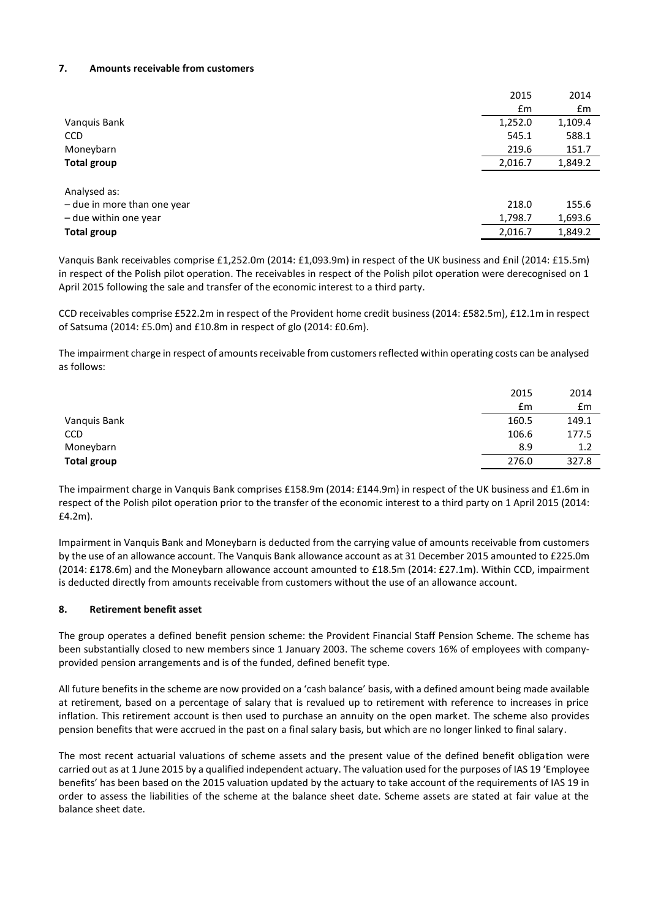#### **7. Amounts receivable from customers**

|                             | 2015    | 2014    |
|-----------------------------|---------|---------|
|                             | £m      | £m      |
| Vanquis Bank                | 1,252.0 | 1,109.4 |
| <b>CCD</b>                  | 545.1   | 588.1   |
| Moneybarn                   | 219.6   | 151.7   |
| Total group                 | 2,016.7 | 1,849.2 |
|                             |         |         |
| Analysed as:                |         |         |
| - due in more than one year | 218.0   | 155.6   |
| - due within one year       | 1,798.7 | 1,693.6 |
| <b>Total group</b>          | 2,016.7 | 1,849.2 |

Vanquis Bank receivables comprise £1,252.0m (2014: £1,093.9m) in respect of the UK business and £nil (2014: £15.5m) in respect of the Polish pilot operation. The receivables in respect of the Polish pilot operation were derecognised on 1 April 2015 following the sale and transfer of the economic interest to a third party.

CCD receivables comprise £522.2m in respect of the Provident home credit business (2014: £582.5m), £12.1m in respect of Satsuma (2014: £5.0m) and £10.8m in respect of glo (2014: £0.6m).

The impairment charge in respect of amounts receivable from customers reflected within operating costs can be analysed as follows:

|                    | 2015  | 2014  |
|--------------------|-------|-------|
|                    | £m    | Em    |
| Vanquis Bank       | 160.5 | 149.1 |
| CCD                | 106.6 | 177.5 |
| Moneybarn          | 8.9   | 1.2   |
| <b>Total group</b> | 276.0 | 327.8 |
|                    |       |       |

The impairment charge in Vanquis Bank comprises £158.9m (2014: £144.9m) in respect of the UK business and £1.6m in respect of the Polish pilot operation prior to the transfer of the economic interest to a third party on 1 April 2015 (2014: £4.2m).

Impairment in Vanquis Bank and Moneybarn is deducted from the carrying value of amounts receivable from customers by the use of an allowance account. The Vanquis Bank allowance account as at 31 December 2015 amounted to £225.0m (2014: £178.6m) and the Moneybarn allowance account amounted to £18.5m (2014: £27.1m). Within CCD, impairment is deducted directly from amounts receivable from customers without the use of an allowance account.

#### **8. Retirement benefit asset**

The group operates a defined benefit pension scheme: the Provident Financial Staff Pension Scheme. The scheme has been substantially closed to new members since 1 January 2003. The scheme covers 16% of employees with companyprovided pension arrangements and is of the funded, defined benefit type.

All future benefits in the scheme are now provided on a 'cash balance' basis, with a defined amount being made available at retirement, based on a percentage of salary that is revalued up to retirement with reference to increases in price inflation. This retirement account is then used to purchase an annuity on the open market. The scheme also provides pension benefits that were accrued in the past on a final salary basis, but which are no longer linked to final salary.

The most recent actuarial valuations of scheme assets and the present value of the defined benefit obligation were carried out as at 1 June 2015 by a qualified independent actuary. The valuation used for the purposes of IAS 19 'Employee benefits' has been based on the 2015 valuation updated by the actuary to take account of the requirements of IAS 19 in order to assess the liabilities of the scheme at the balance sheet date. Scheme assets are stated at fair value at the balance sheet date.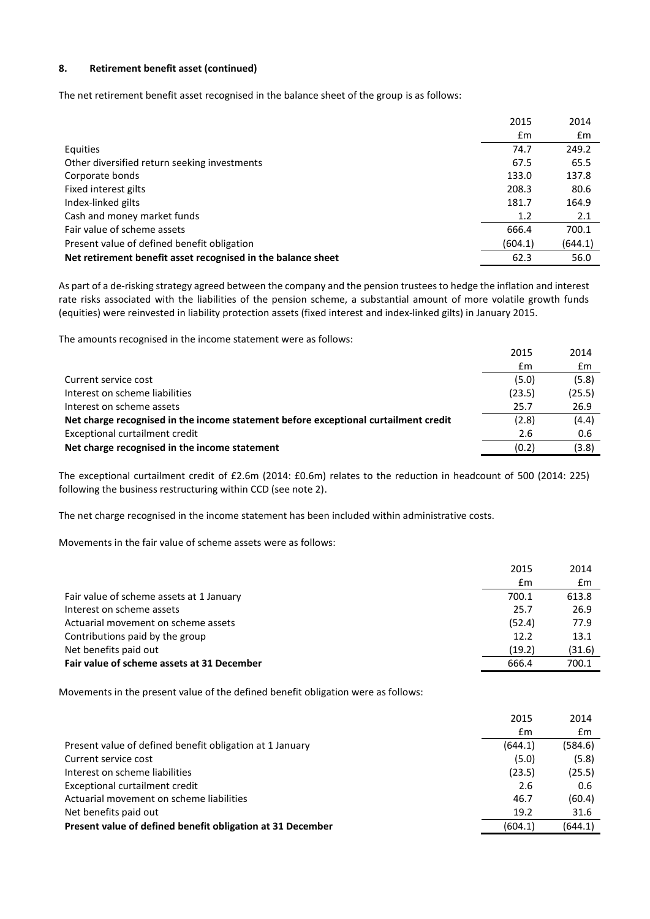#### **8. Retirement benefit asset (continued)**

The net retirement benefit asset recognised in the balance sheet of the group is as follows:

|                                                              | 2015           | 2014    |
|--------------------------------------------------------------|----------------|---------|
|                                                              | $\mathbf{f}$ m | £m      |
| Equities                                                     | 74.7           | 249.2   |
| Other diversified return seeking investments                 | 67.5           | 65.5    |
| Corporate bonds                                              | 133.0          | 137.8   |
| Fixed interest gilts                                         | 208.3          | 80.6    |
| Index-linked gilts                                           | 181.7          | 164.9   |
| Cash and money market funds                                  | 1.2            | 2.1     |
| Fair value of scheme assets                                  | 666.4          | 700.1   |
| Present value of defined benefit obligation                  | (604.1)        | (644.1) |
| Net retirement benefit asset recognised in the balance sheet | 62.3           | 56.0    |

As part of a de-risking strategy agreed between the company and the pension trustees to hedge the inflation and interest rate risks associated with the liabilities of the pension scheme, a substantial amount of more volatile growth funds (equities) were reinvested in liability protection assets (fixed interest and index-linked gilts) in January 2015.

The amounts recognised in the income statement were as follows:

|                                                                                     | 2015   | 2014   |
|-------------------------------------------------------------------------------------|--------|--------|
|                                                                                     | £m     | £m     |
| Current service cost                                                                | (5.0)  | (5.8)  |
| Interest on scheme liabilities                                                      | (23.5) | (25.5) |
| Interest on scheme assets                                                           | 25.7   | 26.9   |
| Net charge recognised in the income statement before exceptional curtailment credit | (2.8)  | (4.4)  |
| Exceptional curtailment credit                                                      | 2.6    | 0.6    |
| Net charge recognised in the income statement                                       | (0.2)  | (3.8)  |

The exceptional curtailment credit of £2.6m (2014: £0.6m) relates to the reduction in headcount of 500 (2014: 225) following the business restructuring within CCD (see note 2).

The net charge recognised in the income statement has been included within administrative costs.

Movements in the fair value of scheme assets were as follows:

|                                            | 2015   | 2014   |
|--------------------------------------------|--------|--------|
|                                            | Em     | £m     |
| Fair value of scheme assets at 1 January   | 700.1  | 613.8  |
| Interest on scheme assets                  | 25.7   | 26.9   |
| Actuarial movement on scheme assets        | (52.4) | 77.9   |
| Contributions paid by the group            | 12.2   | 13.1   |
| Net benefits paid out                      | (19.2) | (31.6) |
| Fair value of scheme assets at 31 December | 666.4  | 700.1  |

Movements in the present value of the defined benefit obligation were as follows:

|                                                            | 2015    | 2014    |
|------------------------------------------------------------|---------|---------|
|                                                            | £m      | £m      |
| Present value of defined benefit obligation at 1 January   | (644.1) | (584.6) |
| Current service cost                                       | (5.0)   | (5.8)   |
| Interest on scheme liabilities                             | (23.5)  | (25.5)  |
| Exceptional curtailment credit                             | 2.6     | 0.6     |
| Actuarial movement on scheme liabilities                   | 46.7    | (60.4)  |
| Net benefits paid out                                      | 19.2    | 31.6    |
| Present value of defined benefit obligation at 31 December | (604.1) | (644.1) |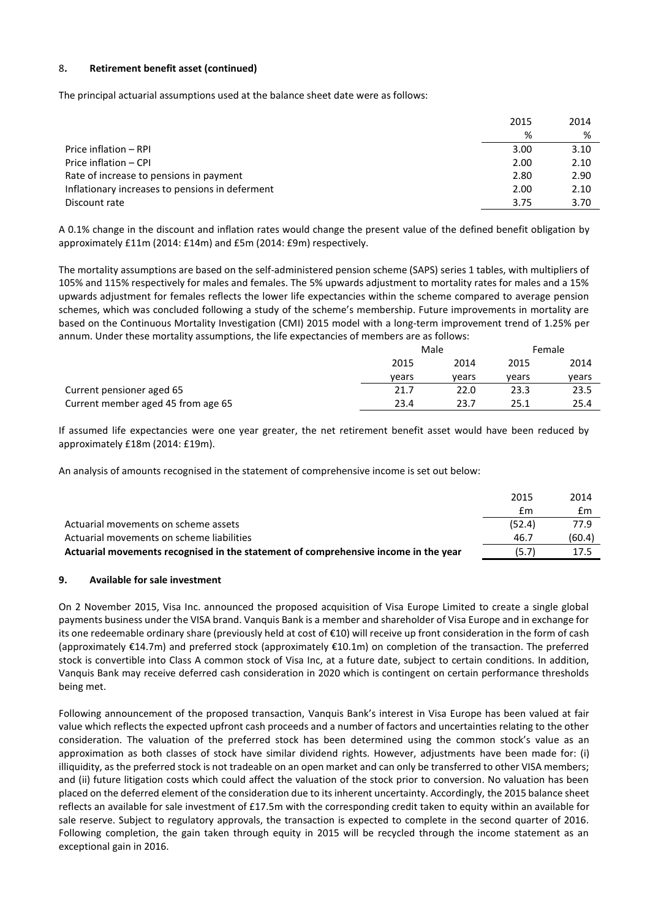#### 8**. Retirement benefit asset (continued)**

The principal actuarial assumptions used at the balance sheet date were as follows:

|                                                 | 2015 | 2014 |
|-------------------------------------------------|------|------|
|                                                 | %    | %    |
| Price inflation - RPI                           | 3.00 | 3.10 |
| Price inflation - CPI                           | 2.00 | 2.10 |
| Rate of increase to pensions in payment         | 2.80 | 2.90 |
| Inflationary increases to pensions in deferment | 2.00 | 2.10 |
| Discount rate                                   | 3.75 | 3.70 |

A 0.1% change in the discount and inflation rates would change the present value of the defined benefit obligation by approximately £11m (2014: £14m) and £5m (2014: £9m) respectively.

The mortality assumptions are based on the self-administered pension scheme (SAPS) series 1 tables, with multipliers of 105% and 115% respectively for males and females. The 5% upwards adjustment to mortality rates for males and a 15% upwards adjustment for females reflects the lower life expectancies within the scheme compared to average pension schemes, which was concluded following a study of the scheme's membership. Future improvements in mortality are based on the Continuous Mortality Investigation (CMI) 2015 model with a long-term improvement trend of 1.25% per annum. Under these mortality assumptions, the life expectancies of members are as follows:

|                                    | Male  |       | Female |       |
|------------------------------------|-------|-------|--------|-------|
|                                    | 2015  | 2014  | 2015   | 2014  |
|                                    | vears | vears | vears  | vears |
| Current pensioner aged 65          | 21.7  | 22.0  | 23.3   | 23.5  |
| Current member aged 45 from age 65 | 23.4  | 23.7  | 25.1   | 25.4  |

If assumed life expectancies were one year greater, the net retirement benefit asset would have been reduced by approximately £18m (2014: £19m).

An analysis of amounts recognised in the statement of comprehensive income is set out below:

|                                                                                     | 2015   | 2014   |
|-------------------------------------------------------------------------------------|--------|--------|
|                                                                                     | £m     | £m     |
| Actuarial movements on scheme assets                                                | (52.4) | 77.9   |
| Actuarial movements on scheme liabilities                                           | 46.7   | (60.4) |
| Actuarial movements recognised in the statement of comprehensive income in the year | (5.7)  | 17.5   |

#### **9. Available for sale investment**

On 2 November 2015, Visa Inc. announced the proposed acquisition of Visa Europe Limited to create a single global payments business under the VISA brand. Vanquis Bank is a member and shareholder of Visa Europe and in exchange for its one redeemable ordinary share (previously held at cost of €10) will receive up front consideration in the form of cash (approximately €14.7m) and preferred stock (approximately €10.1m) on completion of the transaction. The preferred stock is convertible into Class A common stock of Visa Inc, at a future date, subject to certain conditions. In addition, Vanquis Bank may receive deferred cash consideration in 2020 which is contingent on certain performance thresholds being met.

Following announcement of the proposed transaction, Vanquis Bank's interest in Visa Europe has been valued at fair value which reflects the expected upfront cash proceeds and a number of factors and uncertainties relating to the other consideration. The valuation of the preferred stock has been determined using the common stock's value as an approximation as both classes of stock have similar dividend rights. However, adjustments have been made for: (i) illiquidity, as the preferred stock is not tradeable on an open market and can only be transferred to other VISA members; and (ii) future litigation costs which could affect the valuation of the stock prior to conversion. No valuation has been placed on the deferred element of the consideration due to its inherent uncertainty. Accordingly, the 2015 balance sheet reflects an available for sale investment of £17.5m with the corresponding credit taken to equity within an available for sale reserve. Subject to regulatory approvals, the transaction is expected to complete in the second quarter of 2016. Following completion, the gain taken through equity in 2015 will be recycled through the income statement as an exceptional gain in 2016.